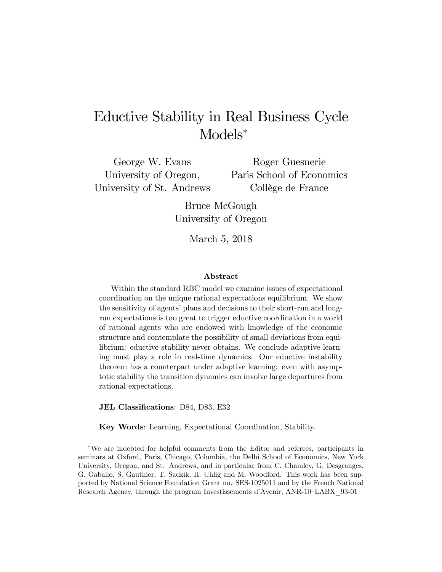# Eductive Stability in Real Business Cycle Models<sup>∗</sup>

George W. Evans University of Oregon, University of St. Andrews

Roger Guesnerie Paris School of Economics Collège de France

Bruce McGough University of Oregon

March 5, 2018

#### Abstract

Within the standard RBC model we examine issues of expectational coordination on the unique rational expectations equilibrium. We show the sensitivity of agents' plans and decisions to their short-run and longrun expectations is too great to trigger eductive coordination in a world of rational agents who are endowed with knowledge of the economic structure and contemplate the possibility of small deviations from equilibrium: eductive stability never obtains. We conclude adaptive learning must play a role in real-time dynamics. Our eductive instability theorem has a counterpart under adaptive learning: even with asymptotic stability the transition dynamics can involve large departures from rational expectations.

JEL Classifications: D84, D83, E32

Key Words: Learning, Expectational Coordination, Stability.

<sup>∗</sup>We are indebted for helpful comments from the Editor and referees, participants in seminars at Oxford, Paris, Chicago, Columbia, the Delhi School of Economics, New York University, Oregon, and St. Andrews, and in particular from C. Chamley, G. Desgranges, G. Gaballo, S. Gauthier, T. Sadzik, H. Uhlig and M. Woodford. This work has been supported by National Science Foundation Grant no. SES-1025011 and by the French National Research Agency, through the program Investissements d'Avenir, ANR-10—LABX\_93-01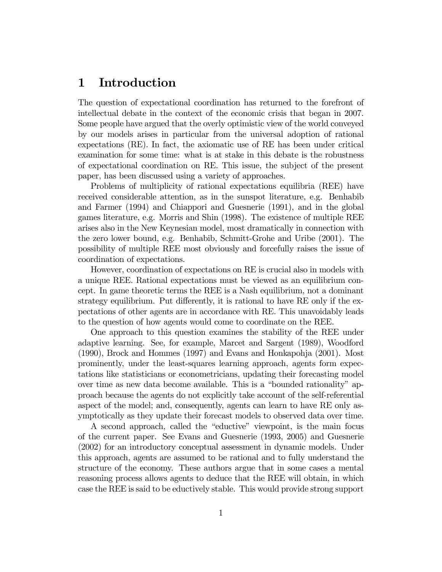## 1 Introduction

The question of expectational coordination has returned to the forefront of intellectual debate in the context of the economic crisis that began in 2007. Some people have argued that the overly optimistic view of the world conveyed by our models arises in particular from the universal adoption of rational expectations (RE). In fact, the axiomatic use of RE has been under critical examination for some time: what is at stake in this debate is the robustness of expectational coordination on RE. This issue, the subject of the present paper, has been discussed using a variety of approaches.

Problems of multiplicity of rational expectations equilibria (REE) have received considerable attention, as in the sunspot literature, e.g. Benhabib and Farmer (1994) and Chiappori and Guesnerie (1991), and in the global games literature, e.g. Morris and Shin (1998). The existence of multiple REE arises also in the New Keynesian model, most dramatically in connection with the zero lower bound, e.g. Benhabib, Schmitt-Grohe and Uribe (2001). The possibility of multiple REE most obviously and forcefully raises the issue of coordination of expectations.

However, coordination of expectations on RE is crucial also in models with a unique REE. Rational expectations must be viewed as an equilibrium concept. In game theoretic terms the REE is a Nash equilibrium, not a dominant strategy equilibrium. Put differently, it is rational to have RE only if the expectations of other agents are in accordance with RE. This unavoidably leads to the question of how agents would come to coordinate on the REE.

One approach to this question examines the stability of the REE under adaptive learning. See, for example, Marcet and Sargent (1989), Woodford (1990), Brock and Hommes (1997) and Evans and Honkapohja (2001). Most prominently, under the least-squares learning approach, agents form expectations like statisticians or econometricians, updating their forecasting model over time as new data become available. This is a "bounded rationality" approach because the agents do not explicitly take account of the self-referential aspect of the model; and, consequently, agents can learn to have RE only asymptotically as they update their forecast models to observed data over time.

A second approach, called the "eductive" viewpoint, is the main focus of the current paper. See Evans and Guesnerie (1993, 2005) and Guesnerie (2002) for an introductory conceptual assessment in dynamic models. Under this approach, agents are assumed to be rational and to fully understand the structure of the economy. These authors argue that in some cases a mental reasoning process allows agents to deduce that the REE will obtain, in which case the REE is said to be eductively stable. This would provide strong support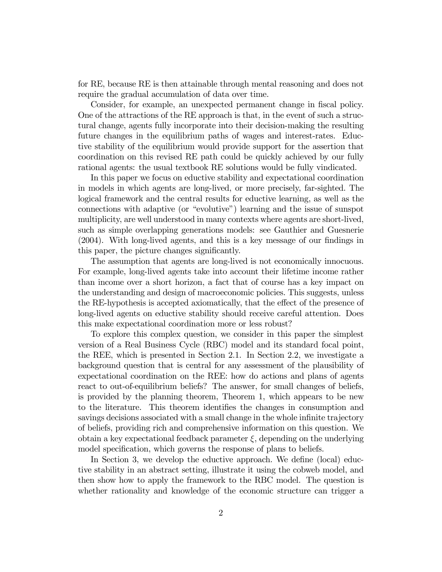for RE, because RE is then attainable through mental reasoning and does not require the gradual accumulation of data over time.

Consider, for example, an unexpected permanent change in fiscal policy. One of the attractions of the RE approach is that, in the event of such a structural change, agents fully incorporate into their decision-making the resulting future changes in the equilibrium paths of wages and interest-rates. Eductive stability of the equilibrium would provide support for the assertion that coordination on this revised RE path could be quickly achieved by our fully rational agents: the usual textbook RE solutions would be fully vindicated.

In this paper we focus on eductive stability and expectational coordination in models in which agents are long-lived, or more precisely, far-sighted. The logical framework and the central results for eductive learning, as well as the connections with adaptive (or "evolutive") learning and the issue of sunspot multiplicity, are well understood in many contexts where agents are short-lived, such as simple overlapping generations models: see Gauthier and Guesnerie (2004). With long-lived agents, and this is a key message of our findings in this paper, the picture changes significantly.

The assumption that agents are long-lived is not economically innocuous. For example, long-lived agents take into account their lifetime income rather than income over a short horizon, a fact that of course has a key impact on the understanding and design of macroeconomic policies. This suggests, unless the RE-hypothesis is accepted axiomatically, that the effect of the presence of long-lived agents on eductive stability should receive careful attention. Does this make expectational coordination more or less robust?

To explore this complex question, we consider in this paper the simplest version of a Real Business Cycle (RBC) model and its standard focal point, the REE, which is presented in Section 2.1. In Section 2.2, we investigate a background question that is central for any assessment of the plausibility of expectational coordination on the REE: how do actions and plans of agents react to out-of-equilibrium beliefs? The answer, for small changes of beliefs, is provided by the planning theorem, Theorem 1, which appears to be new to the literature. This theorem identifies the changes in consumption and savings decisions associated with a small change in the whole infinite trajectory of beliefs, providing rich and comprehensive information on this question. We obtain a key expectational feedback parameter  $\xi$ , depending on the underlying model specification, which governs the response of plans to beliefs.

In Section 3, we develop the eductive approach. We define (local) eductive stability in an abstract setting, illustrate it using the cobweb model, and then show how to apply the framework to the RBC model. The question is whether rationality and knowledge of the economic structure can trigger a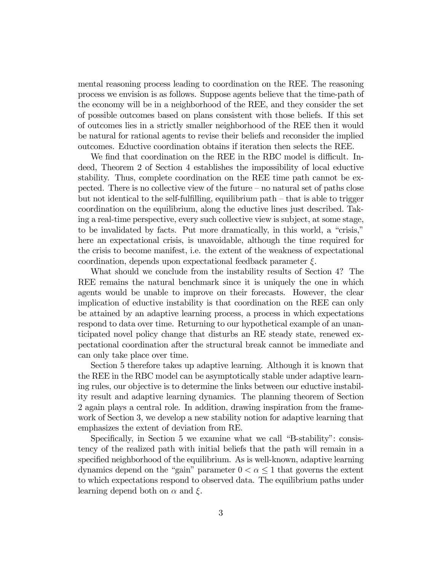mental reasoning process leading to coordination on the REE. The reasoning process we envision is as follows. Suppose agents believe that the time-path of the economy will be in a neighborhood of the REE, and they consider the set of possible outcomes based on plans consistent with those beliefs. If this set of outcomes lies in a strictly smaller neighborhood of the REE then it would be natural for rational agents to revise their beliefs and reconsider the implied outcomes. Eductive coordination obtains if iteration then selects the REE.

We find that coordination on the REE in the RBC model is difficult. Indeed, Theorem 2 of Section 4 establishes the impossibility of local eductive stability. Thus, complete coordination on the REE time path cannot be expected. There is no collective view of the future — no natural set of paths close but not identical to the self-fulfilling, equilibrium path — that is able to trigger coordination on the equilibrium, along the eductive lines just described. Taking a real-time perspective, every such collective view is subject, at some stage, to be invalidated by facts. Put more dramatically, in this world, a "crisis," here an expectational crisis, is unavoidable, although the time required for the crisis to become manifest, i.e. the extent of the weakness of expectational coordination, depends upon expectational feedback parameter  $\xi$ .

What should we conclude from the instability results of Section 4? The REE remains the natural benchmark since it is uniquely the one in which agents would be unable to improve on their forecasts. However, the clear implication of eductive instability is that coordination on the REE can only be attained by an adaptive learning process, a process in which expectations respond to data over time. Returning to our hypothetical example of an unanticipated novel policy change that disturbs an RE steady state, renewed expectational coordination after the structural break cannot be immediate and can only take place over time.

Section 5 therefore takes up adaptive learning. Although it is known that the REE in the RBC model can be asymptotically stable under adaptive learning rules, our objective is to determine the links between our eductive instability result and adaptive learning dynamics. The planning theorem of Section 2 again plays a central role. In addition, drawing inspiration from the framework of Section 3, we develop a new stability notion for adaptive learning that emphasizes the extent of deviation from RE.

Specifically, in Section 5 we examine what we call "B-stability": consistency of the realized path with initial beliefs that the path will remain in a specified neighborhood of the equilibrium. As is well-known, adaptive learning dynamics depend on the "gain" parameter  $0 < \alpha \leq 1$  that governs the extent to which expectations respond to observed data. The equilibrium paths under learning depend both on  $\alpha$  and  $\xi$ .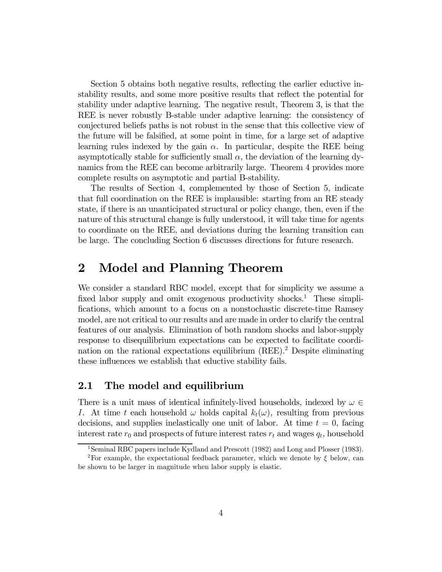Section 5 obtains both negative results, reflecting the earlier eductive instability results, and some more positive results that reflect the potential for stability under adaptive learning. The negative result, Theorem 3, is that the REE is never robustly B-stable under adaptive learning: the consistency of conjectured beliefs paths is not robust in the sense that this collective view of the future will be falsified, at some point in time, for a large set of adaptive learning rules indexed by the gain  $\alpha$ . In particular, despite the REE being asymptotically stable for sufficiently small  $\alpha$ , the deviation of the learning dynamics from the REE can become arbitrarily large. Theorem 4 provides more complete results on asymptotic and partial B-stability.

The results of Section 4, complemented by those of Section 5, indicate that full coordination on the REE is implausible: starting from an RE steady state, if there is an unanticipated structural or policy change, then, even if the nature of this structural change is fully understood, it will take time for agents to coordinate on the REE, and deviations during the learning transition can be large. The concluding Section 6 discusses directions for future research.

## 2 Model and Planning Theorem

We consider a standard RBC model, except that for simplicity we assume a fixed labor supply and omit exogenous productivity shocks.<sup>1</sup> These simplifications, which amount to a focus on a nonstochastic discrete-time Ramsey model, are not critical to our results and are made in order to clarify the central features of our analysis. Elimination of both random shocks and labor-supply response to disequilibrium expectations can be expected to facilitate coordination on the rational expectations equilibrium  $(REE)^2$  Despite eliminating these influences we establish that eductive stability fails.

### 2.1 The model and equilibrium

There is a unit mass of identical infinitely-lived households, indexed by  $\omega \in$ I. At time t each household  $\omega$  holds capital  $k_t(\omega)$ , resulting from previous decisions, and supplies inelastically one unit of labor. At time  $t = 0$ , facing interest rate  $r_0$  and prospects of future interest rates  $r_t$  and wages  $q_t$ , household

<sup>&</sup>lt;sup>1</sup>Seminal RBC papers include Kydland and Prescott (1982) and Long and Plosser (1983).

<sup>&</sup>lt;sup>2</sup>For example, the expectational feedback parameter, which we denote by  $\xi$  below, can be shown to be larger in magnitude when labor supply is elastic.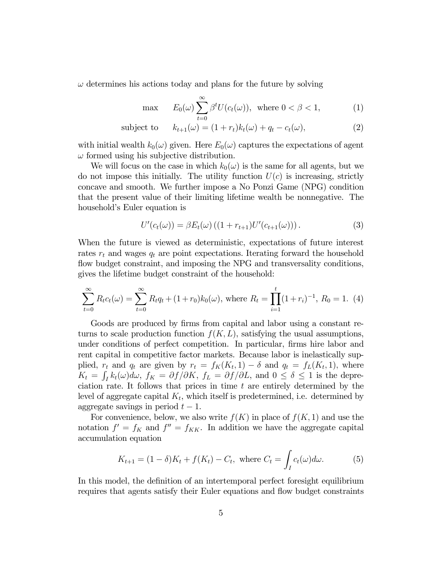$\omega$  determines his actions today and plans for the future by solving

$$
\max \qquad E_0(\omega) \sum_{t=0}^{\infty} \beta^t U(c_t(\omega)), \text{ where } 0 < \beta < 1,\tag{1}
$$

subject to 
$$
k_{t+1}(\omega) = (1+r_t)k_t(\omega) + q_t - c_t(\omega), \qquad (2)
$$

with initial wealth  $k_0(\omega)$  given. Here  $E_0(\omega)$  captures the expectations of agent  $\omega$  formed using his subjective distribution.

We will focus on the case in which  $k_0(\omega)$  is the same for all agents, but we do not impose this initially. The utility function  $U(c)$  is increasing, strictly concave and smooth. We further impose a No Ponzi Game (NPG) condition that the present value of their limiting lifetime wealth be nonnegative. The household's Euler equation is

$$
U'(c_t(\omega)) = \beta E_t(\omega) ((1 + r_{t+1}) U'(c_{t+1}(\omega))). \qquad (3)
$$

When the future is viewed as deterministic, expectations of future interest rates  $r_t$  and wages  $q_t$  are point expectations. Iterating forward the household flow budget constraint, and imposing the NPG and transversality conditions, gives the lifetime budget constraint of the household:

$$
\sum_{t=0}^{\infty} R_t c_t(\omega) = \sum_{t=0}^{\infty} R_t q_t + (1+r_0) k_0(\omega), \text{ where } R_t = \prod_{i=1}^t (1+r_i)^{-1}, R_0 = 1.
$$
 (4)

Goods are produced by firms from capital and labor using a constant returns to scale production function  $f(K, L)$ , satisfying the usual assumptions, under conditions of perfect competition. In particular, firms hire labor and rent capital in competitive factor markets. Because labor is inelastically supplied,  $r_t$  and  $q_t$  are given by  $r_t = f_K(K_t, 1) - \delta$  and  $q_t = f_L(K_t, 1)$ , where  $K_t = \int_I k_t(\omega) d\omega$ ,  $f_K = \partial f / \partial K$ ,  $f_L = \partial f / \partial L$ , and  $0 \le \delta \le 1$  is the depreciation rate. It follows that prices in time  $t$  are entirely determined by the level of aggregate capital  $K_t$ , which itself is predetermined, i.e. determined by aggregate savings in period  $t-1$ .

For convenience, below, we also write  $f(K)$  in place of  $f(K, 1)$  and use the notation  $f' = f_K$  and  $f'' = f_{KK}$ . In addition we have the aggregate capital accumulation equation

$$
K_{t+1} = (1 - \delta)K_t + f(K_t) - C_t, \text{ where } C_t = \int_I c_t(\omega)d\omega.
$$
 (5)

In this model, the definition of an intertemporal perfect foresight equilibrium requires that agents satisfy their Euler equations and flow budget constraints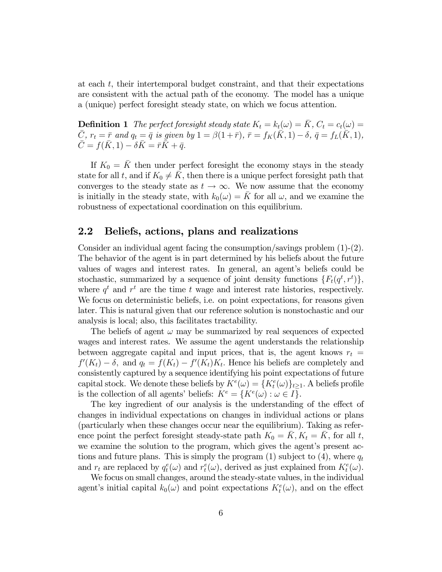at each  $t$ , their intertemporal budget constraint, and that their expectations are consistent with the actual path of the economy. The model has a unique a (unique) perfect foresight steady state, on which we focus attention.

**Definition 1** The perfect foresight steady state  $K_t = k_t(\omega) = \overline{K}$ ,  $C_t = c_t(\omega) =$  $\overline{C}$ ,  $r_t = \overline{r}$  and  $q_t = \overline{q}$  is given by  $1 = \beta(1 + \overline{r})$ ,  $\overline{r} = f_K(\overline{K}, 1) - \delta$ ,  $\overline{q} = f_L(\overline{K}, 1)$ ,  $C = f(K, 1) - \delta K = \bar{r}K + \bar{q}.$ 

If  $K_0 = \overline{K}$  then under perfect foresight the economy stays in the steady state for all t, and if  $K_0 \neq \overline{K}$ , then there is a unique perfect foresight path that converges to the steady state as  $t \to \infty$ . We now assume that the economy is initially in the steady state, with  $k_0(\omega) = K$  for all  $\omega$ , and we examine the robustness of expectational coordination on this equilibrium.

### 2.2 Beliefs, actions, plans and realizations

Consider an individual agent facing the consumption/savings problem  $(1)-(2)$ . The behavior of the agent is in part determined by his beliefs about the future values of wages and interest rates. In general, an agent's beliefs could be stochastic, summarized by a sequence of joint density functions  $\{F_t(q^t, r^t)\},\$ where  $q^t$  and  $r^t$  are the time t wage and interest rate histories, respectively. We focus on deterministic beliefs, i.e. on point expectations, for reasons given later. This is natural given that our reference solution is nonstochastic and our analysis is local; also, this facilitates tractability.

The beliefs of agent  $\omega$  may be summarized by real sequences of expected wages and interest rates. We assume the agent understands the relationship between aggregate capital and input prices, that is, the agent knows  $r_t =$  $f'(K_t) - \delta$ , and  $q_t = f(K_t) - f'(K_t)K_t$ . Hence his beliefs are completely and consistently captured by a sequence identifying his point expectations of future capital stock. We denote these beliefs by  $K^{e}(\omega) = \{K^{e}_{t}(\omega)\}_{t \geq 1}$ . A beliefs profile is the collection of all agents' beliefs:  $K^e = \{K^e(\omega) : \omega \in I\}.$ 

The key ingredient of our analysis is the understanding of the effect of changes in individual expectations on changes in individual actions or plans (particularly when these changes occur near the equilibrium). Taking as reference point the perfect foresight steady-state path  $K_0 = K, K_t = K$ , for all t, we examine the solution to the program, which gives the agent's present actions and future plans. This is simply the program (1) subject to (4), where  $q_t$ and  $r_t$  are replaced by  $q_t^e(\omega)$  and  $r_t^e(\omega)$ , derived as just explained from  $K_t^e(\omega)$ .

We focus on small changes, around the steady-state values, in the individual agent's initial capital  $k_0(\omega)$  and point expectations  $K_t^e(\omega)$ , and on the effect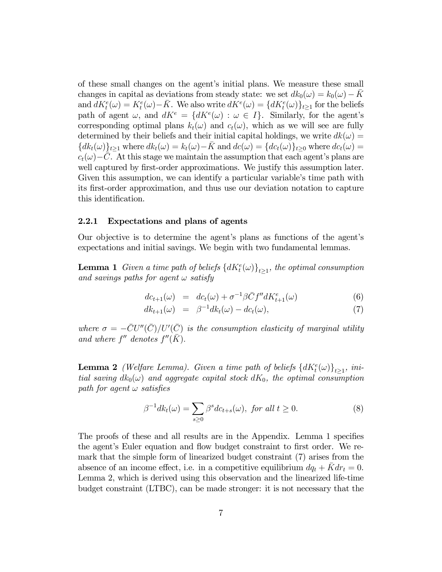of these small changes on the agent's initial plans. We measure these small changes in capital as deviations from steady state: we set  $dk_0(\omega) = k_0(\omega) - K_0(\omega)$ and  $dK_t^e(\omega) = K_t^e(\omega) - \bar{K}$ . We also write  $dK^e(\omega) = \{ dK_t^e(\omega) \}_{t \ge 1}$  for the beliefs path of agent  $\omega$ , and  $dK^e = \{dK^e(\omega) : \omega \in I\}$ . Similarly, for the agent's corresponding optimal plans  $k_t(\omega)$  and  $c_t(\omega)$ , which as we will see are fully determined by their beliefs and their initial capital holdings, we write  $dk(\omega) =$  ${dk_t(\omega)}_{t>1}$  where  $dk_t(\omega) = k_t(\omega) - \bar{K}$  and  $dc(\omega) = {dc_t(\omega)}_{t>0}$  where  $dc_t(\omega) =$  $c_t(\omega)$  – C. At this stage we maintain the assumption that each agent's plans are well captured by first-order approximations. We justify this assumption later. Given this assumption, we can identify a particular variable's time path with its first-order approximation, and thus use our deviation notation to capture this identification.

#### 2.2.1 Expectations and plans of agents

Our objective is to determine the agent's plans as functions of the agent's expectations and initial savings. We begin with two fundamental lemmas.

**Lemma 1** Given a time path of beliefs  $\{dK_t^e(\omega)\}_{t\geq 1}$ , the optimal consumption and savings paths for agent  $\omega$  satisfy

$$
dc_{t+1}(\omega) = dc_t(\omega) + \sigma^{-1}\beta\bar{C}f''dK_{t+1}^e(\omega)
$$
\n(6)

$$
dk_{t+1}(\omega) = \beta^{-1} dk_t(\omega) - dc_t(\omega), \qquad (7)
$$

where  $\sigma = -\bar{C}U''(\bar{C})/U'(\bar{C})$  is the consumption elasticity of marginal utility and where  $f''$  denotes  $f''(\bar{K})$ .

**Lemma 2** (Welfare Lemma). Given a time path of beliefs  $\{dK_t^e(\omega)\}_{t\geq 1}$ , initial saving  $dk_0(\omega)$  and aggregate capital stock  $dK_0$ , the optimal consumption path for agent  $\omega$  satisfies

$$
\beta^{-1} dk_t(\omega) = \sum_{s \ge 0} \beta^s d c_{t+s}(\omega), \text{ for all } t \ge 0.
$$
 (8)

The proofs of these and all results are in the Appendix. Lemma 1 specifies the agent's Euler equation and flow budget constraint to first order. We remark that the simple form of linearized budget constraint (7) arises from the absence of an income effect, i.e. in a competitive equilibrium  $dq_t + K dr_t = 0$ . Lemma 2, which is derived using this observation and the linearized life-time budget constraint (LTBC), can be made stronger: it is not necessary that the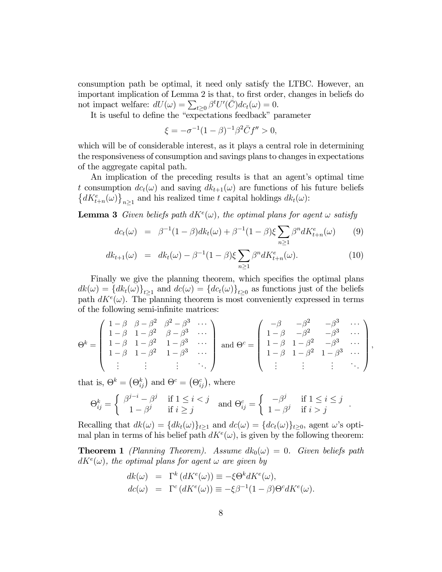consumption path be optimal, it need only satisfy the LTBC. However, an important implication of Lemma 2 is that, to first order, changes in beliefs do not impact welfare:  $dU(\omega) = \sum_{t \geq 0} \beta^t U'(\overline{C}) dc_t(\omega) = 0.$ 

It is useful to define the "expectations feedback" parameter

$$
\xi = -\sigma^{-1}(1-\beta)^{-1}\beta^2 \bar{C}f'' > 0,
$$

which will be of considerable interest, as it plays a central role in determining the responsiveness of consumption and savings plans to changes in expectations of the aggregate capital path.

An implication of the preceding results is that an agent's optimal time t consumption  $dc_t(\omega)$  and saving  $dk_{t+1}(\omega)$  are functions of his future beliefs  $\{dK_{t+n}^{e}(\omega)\}_{n\geq 1}$  and his realized time t capital holdings  $dk_{t}(\omega)$ :

**Lemma 3** Given beliefs path  $dK^e(\omega)$ , the optimal plans for agent  $\omega$  satisfy

$$
dc_t(\omega) = \beta^{-1}(1-\beta)dk_t(\omega) + \beta^{-1}(1-\beta)\xi \sum_{n\geq 1} \beta^n dK_{t+n}^e(\omega) \qquad (9)
$$

$$
dk_{t+1}(\omega) = dk_t(\omega) - \beta^{-1}(1-\beta)\xi \sum_{n\geq 1} \beta^n dK_{t+n}^e(\omega). \tag{10}
$$

Finally we give the planning theorem, which specifies the optimal plans  $dk(\omega) = \{dk_t(\omega)\}_{t>1}$  and  $dc(\omega) = \{dc_t(\omega)\}_{t>0}$  as functions just of the beliefs path  $dK^{e}(\omega)$ . The planning theorem is most conveniently expressed in terms of the following semi-infinite matrices:

$$
\Theta^{k} = \begin{pmatrix} 1 - \beta & \beta - \beta^{2} & \beta^{2} - \beta^{3} & \cdots \\ 1 - \beta & 1 - \beta^{2} & \beta - \beta^{3} & \cdots \\ 1 - \beta & 1 - \beta^{2} & 1 - \beta^{3} & \cdots \\ 1 - \beta & 1 - \beta^{2} & 1 - \beta^{3} & \cdots \\ \vdots & \vdots & \vdots & \ddots \end{pmatrix} \text{ and } \Theta^{c} = \begin{pmatrix} -\beta & -\beta^{2} & -\beta^{3} & \cdots \\ 1 - \beta & -\beta^{2} & -\beta^{3} & \cdots \\ 1 - \beta & 1 - \beta^{2} & -\beta^{3} & \cdots \\ 1 - \beta & 1 - \beta^{2} & 1 - \beta^{3} & \cdots \\ \vdots & \vdots & \vdots & \ddots \end{pmatrix}
$$

 $\overline{\phantom{a}}$ 

that is,  $\Theta^k = (\Theta_{ij}^k)$  and  $\Theta^c = (\Theta_{ij}^c)$ , where

$$
\Theta_{ij}^k = \left\{ \begin{array}{ll} \beta^{j-i} - \beta^j & \text{if } 1 \leq i < j \\ 1 - \beta^j & \text{if } i \geq j \end{array} \right. \text{ and } \Theta_{ij}^c = \left\{ \begin{array}{ll} -\beta^j & \text{if } 1 \leq i \leq j \\ 1 - \beta^j & \text{if } i > j \end{array} \right. .
$$

Recalling that  $dk(\omega) = \{dk_t(\omega)\}_{t\geq 1}$  and  $dc(\omega) = \{dc_t(\omega)\}_{t\geq 0}$ , agent  $\omega$ 's optimal plan in terms of his belief path  $dK^{e}(\omega)$ , is given by the following theorem:

**Theorem 1** (Planning Theorem). Assume  $dk_0(\omega)=0$ . Given beliefs path  $dK^{e}(\omega)$ , the optimal plans for agent  $\omega$  are given by

$$
dk(\omega) = \Gamma^k (dK^e(\omega)) \equiv -\xi \Theta^k dK^e(\omega),
$$
  
\n
$$
dc(\omega) = \Gamma^c (dK^e(\omega)) \equiv -\xi \beta^{-1} (1 - \beta) \Theta^c dK^e(\omega).
$$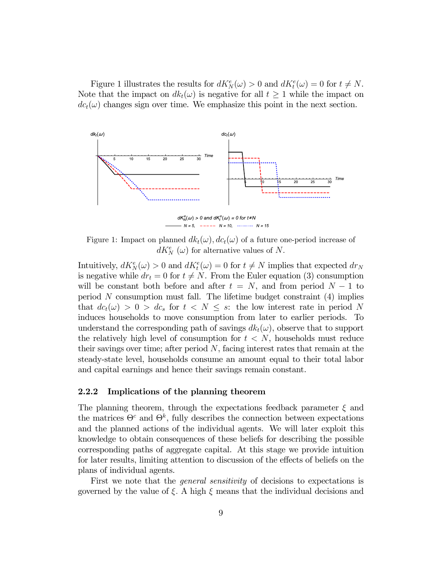Figure 1 illustrates the results for  $dK_N^e(\omega) > 0$  and  $dK_t^e(\omega) = 0$  for  $t \neq N$ . Note that the impact on  $dk_t(\omega)$  is negative for all  $t \geq 1$  while the impact on  $dc<sub>t</sub>(\omega)$  changes sign over time. We emphasize this point in the next section.



Figure 1: Impact on planned  $dk_t(\omega)$ ,  $dc_t(\omega)$  of a future one-period increase of  $dK_N^e(\omega)$  for alternative values of N.

Intuitively,  $dK_N^e(\omega) > 0$  and  $dK_t^e(\omega) = 0$  for  $t \neq N$  implies that expected  $dr_N$ is negative while  $dr_t = 0$  for  $t \neq N$ . From the Euler equation (3) consumption will be constant both before and after  $t = N$ , and from period  $N - 1$  to period  $N$  consumption must fall. The lifetime budget constraint  $(4)$  implies that  $dc_t(\omega) > 0 > dc_s$  for  $t < N \leq s$ : the low interest rate in period N induces households to move consumption from later to earlier periods. To understand the corresponding path of savings  $dk_t(\omega)$ , observe that to support the relatively high level of consumption for  $t < N$ , households must reduce their savings over time; after period  $N$ , facing interest rates that remain at the steady-state level, households consume an amount equal to their total labor and capital earnings and hence their savings remain constant.

#### 2.2.2 Implications of the planning theorem

The planning theorem, through the expectations feedback parameter  $\xi$  and the matrices  $\Theta^c$  and  $\Theta^k$ , fully describes the connection between expectations and the planned actions of the individual agents. We will later exploit this knowledge to obtain consequences of these beliefs for describing the possible corresponding paths of aggregate capital. At this stage we provide intuition for later results, limiting attention to discussion of the effects of beliefs on the plans of individual agents.

First we note that the general sensitivity of decisions to expectations is governed by the value of  $\xi$ . A high  $\xi$  means that the individual decisions and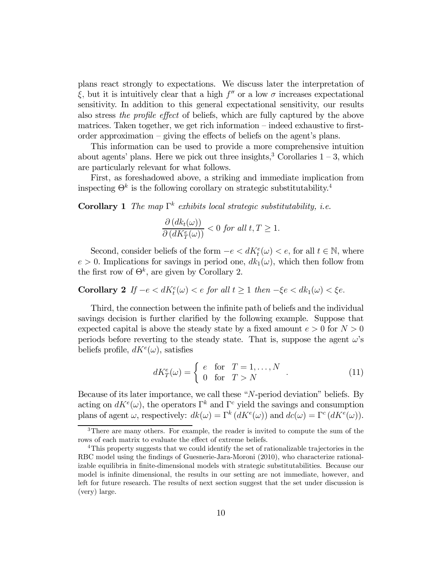plans react strongly to expectations. We discuss later the interpretation of  $\xi$ , but it is intuitively clear that a high  $f''$  or a low  $\sigma$  increases expectational sensitivity. In addition to this general expectational sensitivity, our results also stress the profile effect of beliefs, which are fully captured by the above matrices. Taken together, we get rich information — indeed exhaustive to firstorder approximation — giving the effects of beliefs on the agent's plans.

This information can be used to provide a more comprehensive intuition about agents' plans. Here we pick out three insights,<sup>3</sup> Corollaries  $1-3$ , which are particularly relevant for what follows.

First, as foreshadowed above, a striking and immediate implication from inspecting  $\Theta^k$  is the following corollary on strategic substitutability.<sup>4</sup>

Corollary 1 The map  $\Gamma^k$  exhibits local strategic substitutability, i.e.

$$
\frac{\partial (dk_t(\omega))}{\partial (dK_T^e(\omega))} < 0 \text{ for all } t, T \ge 1.
$$

Second, consider beliefs of the form  $-e < dK_t^e(\omega) < e$ , for all  $t \in \mathbb{N}$ , where  $e > 0$ . Implications for savings in period one,  $dk_1(\omega)$ , which then follow from the first row of  $\Theta^k$ , are given by Corollary 2.

**Corollary 2** If  $-e < dK_t^e(\omega) < e$  for all  $t \ge 1$  then  $-\xi e < dk_1(\omega) < \xi e$ .

Third, the connection between the infinite path of beliefs and the individual savings decision is further clarified by the following example. Suppose that expected capital is above the steady state by a fixed amount  $e > 0$  for  $N > 0$ periods before reverting to the steady state. That is, suppose the agent  $\omega$ 's beliefs profile,  $dK^{e}(\omega)$ , satisfies

$$
dK_T^e(\omega) = \begin{cases} e & \text{for} \quad T = 1, \dots, N \\ 0 & \text{for} \quad T > N \end{cases} . \tag{11}
$$

Because of its later importance, we call these " $N$ -period deviation" beliefs. By acting on  $dK^e(\omega)$ , the operators  $\Gamma^k$  and  $\Gamma^c$  yield the savings and consumption plans of agent  $\omega$ , respectively:  $dk(\omega) = \Gamma^k(dK^e(\omega))$  and  $dc(\omega) = \Gamma^c(dK^e(\omega)).$ 

<sup>3</sup>There are many others. For example, the reader is invited to compute the sum of the rows of each matrix to evaluate the effect of extreme beliefs.

<sup>&</sup>lt;sup>4</sup>This property suggests that we could identify the set of rationalizable trajectories in the RBC model using the findings of Guesnerie-Jara-Moroni (2010), who characterize rationalizable equilibria in finite-dimensional models with strategic substitutabilities. Because our model is infinite dimensional, the results in our setting are not immediate, however, and left for future research. The results of next section suggest that the set under discussion is (very) large.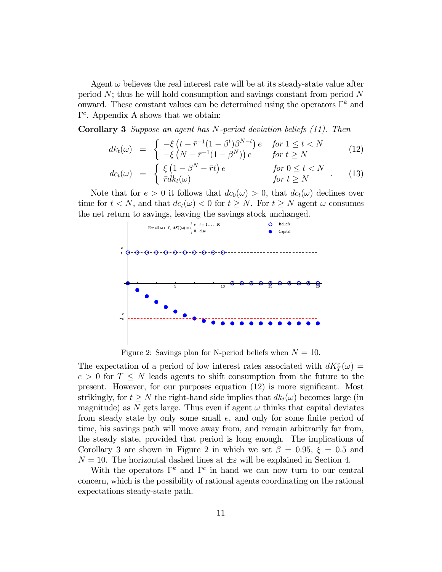Agent  $\omega$  believes the real interest rate will be at its steady-state value after period  $N$ ; thus he will hold consumption and savings constant from period  $N$ onward. These constant values can be determined using the operators  $\Gamma^k$  and Γ . Appendix A shows that we obtain:

**Corollary 3** Suppose an agent has N-period deviation beliefs  $(11)$ . Then

$$
dk_t(\omega) = \begin{cases} -\xi \left( t - \bar{r}^{-1} (1 - \beta^t) \beta^{N-t} \right) e & \text{for } 1 \le t < N \\ -\xi \left( N - \bar{r}^{-1} (1 - \beta^N) \right) e & \text{for } t \ge N \end{cases} \tag{12}
$$

$$
dc_t(\omega) = \begin{cases} \xi \left(1 - \beta^N - \bar{r}t\right) e & \text{for } 0 \le t < N \\ \bar{r}dk_t(\omega) & \text{for } t \ge N \end{cases} . \tag{13}
$$

Note that for  $e > 0$  it follows that  $dc_0(\omega) > 0$ , that  $dc_t(\omega)$  declines over time for  $t < N$ , and that  $dc_t(\omega) < 0$  for  $t \geq N$ . For  $t \geq N$  agent  $\omega$  consumes the net return to savings, leaving the savings stock unchanged.



Figure 2: Savings plan for N-period beliefs when  $N = 10$ .

The expectation of a period of low interest rates associated with  $dK_T^e(\omega) =$  $e > 0$  for  $T \leq N$  leads agents to shift consumption from the future to the present. However, for our purposes equation (12) is more significant. Most strikingly, for  $t > N$  the right-hand side implies that  $dk_t(\omega)$  becomes large (in magnitude) as N gets large. Thus even if agent  $\omega$  thinks that capital deviates from steady state by only some small  $e$ , and only for some finite period of time, his savings path will move away from, and remain arbitrarily far from, the steady state, provided that period is long enough. The implications of Corollary 3 are shown in Figure 2 in which we set  $\beta = 0.95$ ,  $\xi = 0.5$  and  $N = 10$ . The horizontal dashed lines at  $\pm \varepsilon$  will be explained in Section 4.

With the operators  $\Gamma^k$  and  $\Gamma^c$  in hand we can now turn to our central concern, which is the possibility of rational agents coordinating on the rational expectations steady-state path.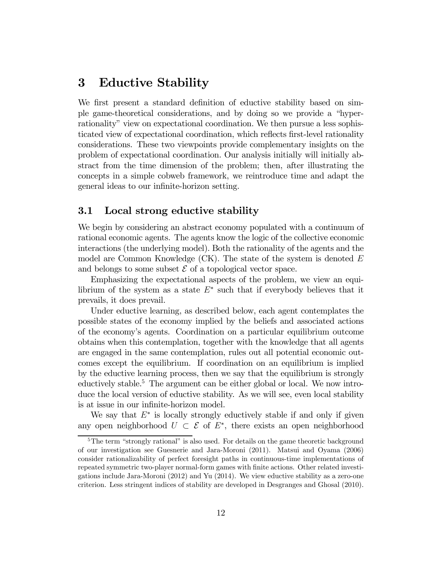## 3 Eductive Stability

We first present a standard definition of eductive stability based on simple game-theoretical considerations, and by doing so we provide a "hyperrationality" view on expectational coordination. We then pursue a less sophisticated view of expectational coordination, which reflects first-level rationality considerations. These two viewpoints provide complementary insights on the problem of expectational coordination. Our analysis initially will initially abstract from the time dimension of the problem; then, after illustrating the concepts in a simple cobweb framework, we reintroduce time and adapt the general ideas to our infinite-horizon setting.

#### 3.1 Local strong eductive stability

We begin by considering an abstract economy populated with a continuum of rational economic agents. The agents know the logic of the collective economic interactions (the underlying model). Both the rationality of the agents and the model are Common Knowledge  $(CK)$ . The state of the system is denoted  $E$ and belongs to some subset  $\mathcal E$  of a topological vector space.

Emphasizing the expectational aspects of the problem, we view an equilibrium of the system as a state  $E^*$  such that if everybody believes that it prevails, it does prevail.

Under eductive learning, as described below, each agent contemplates the possible states of the economy implied by the beliefs and associated actions of the economy's agents. Coordination on a particular equilibrium outcome obtains when this contemplation, together with the knowledge that all agents are engaged in the same contemplation, rules out all potential economic outcomes except the equilibrium. If coordination on an equilibrium is implied by the eductive learning process, then we say that the equilibrium is strongly eductively stable.<sup>5</sup> The argument can be either global or local. We now introduce the local version of eductive stability. As we will see, even local stability is at issue in our infinite-horizon model.

We say that  $E^*$  is locally strongly eductively stable if and only if given any open neighborhood  $U \subset \mathcal{E}$  of  $E^*$ , there exists an open neighborhood

<sup>&</sup>lt;sup>5</sup>The term "strongly rational" is also used. For details on the game theoretic background of our investigation see Guesnerie and Jara-Moroni (2011). Matsui and Oyama (2006) consider rationalizability of perfect foresight paths in continuous-time implementations of repeated symmetric two-player normal-form games with finite actions. Other related investigations include Jara-Moroni (2012) and Yu (2014). We view eductive stability as a zero-one criterion. Less stringent indices of stability are developed in Desgranges and Ghosal (2010).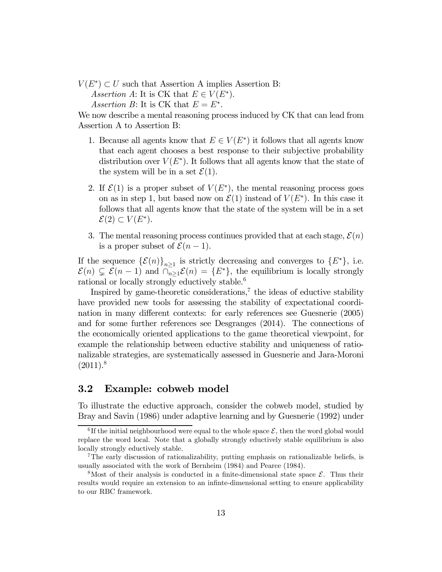$V(E^*) \subset U$  such that Assertion A implies Assertion B: Assertion A: It is CK that  $E \in V(E^*)$ . Assertion B: It is CK that  $E = E^*$ .

We now describe a mental reasoning process induced by CK that can lead from Assertion A to Assertion B:

- 1. Because all agents know that  $E \in V(E^*)$  it follows that all agents know that each agent chooses a best response to their subjective probability distribution over  $V(E^*)$ . It follows that all agents know that the state of the system will be in a set  $\mathcal{E}(1)$ .
- 2. If  $\mathcal{E}(1)$  is a proper subset of  $V(E^*)$ , the mental reasoning process goes on as in step 1, but based now on  $\mathcal{E}(1)$  instead of  $V(E^*)$ . In this case it follows that all agents know that the state of the system will be in a set  $\mathcal{E}(2) \subset V(E^*).$
- 3. The mental reasoning process continues provided that at each stage,  $\mathcal{E}(n)$ is a proper subset of  $\mathcal{E}(n-1)$ .

If the sequence  $\{\mathcal{E}(n)\}_{n\geq 1}$  is strictly decreasing and converges to  $\{E^*\}$ , i.e.  $\mathcal{E}(n) \subsetneq \mathcal{E}(n-1)$  and  $\overline{\cap_{n\geq 1}}\mathcal{E}(n) = \{E^*\},$  the equilibrium is locally strongly rational or locally strongly eductively stable.<sup>6</sup>

Inspired by game-theoretic considerations,<sup> $7$ </sup> the ideas of eductive stability have provided new tools for assessing the stability of expectational coordination in many different contexts: for early references see Guesnerie (2005) and for some further references see Desgranges (2014). The connections of the economically oriented applications to the game theoretical viewpoint, for example the relationship between eductive stability and uniqueness of rationalizable strategies, are systematically assessed in Guesnerie and Jara-Moroni  $(2011).<sup>8</sup>$ 

#### 3.2 Example: cobweb model

To illustrate the eductive approach, consider the cobweb model, studied by Bray and Savin (1986) under adaptive learning and by Guesnerie (1992) under

<sup>&</sup>lt;sup>6</sup>If the initial neighbourhood were equal to the whole space  $\mathcal{E}$ , then the word global would replace the word local. Note that a globally strongly eductively stable equilibrium is also locally strongly eductively stable.

<sup>7</sup>The early discussion of rationalizability, putting emphasis on rationalizable beliefs, is usually associated with the work of Bernheim (1984) and Pearce (1984).

<sup>&</sup>lt;sup>8</sup>Most of their analysis is conducted in a finite-dimensional state space  $\mathcal{E}$ . Thus their results would require an extension to an infinte-dimensional setting to ensure applicability to our RBC framework.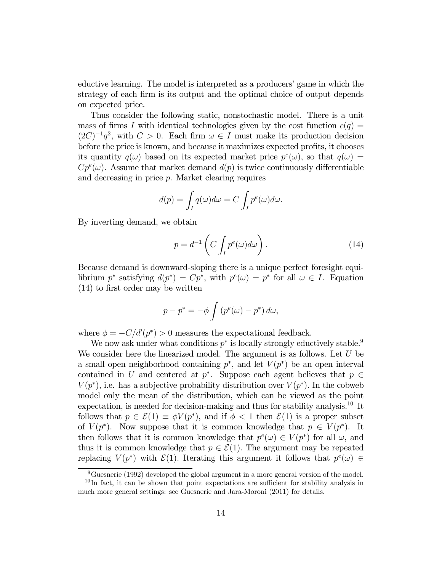eductive learning. The model is interpreted as a producers' game in which the strategy of each firm is its output and the optimal choice of output depends on expected price.

Thus consider the following static, nonstochastic model. There is a unit mass of firms I with identical technologies given by the cost function  $c(q)$  $(2C)^{-1}q^2$ , with  $C>0$ . Each firm  $\omega \in I$  must make its production decision before the price is known, and because it maximizes expected profits, it chooses its quantity  $q(\omega)$  based on its expected market price  $p^{e}(\omega)$ , so that  $q(\omega)$  =  $Cp^{e}(\omega)$ . Assume that market demand  $d(p)$  is twice continuously differentiable and decreasing in price  $p$ . Market clearing requires

$$
d(p) = \int_I q(\omega) d\omega = C \int_I p^e(\omega) d\omega.
$$

By inverting demand, we obtain

$$
p = d^{-1} \left( C \int_{I} p^{e}(\omega) d\omega \right). \tag{14}
$$

Because demand is downward-sloping there is a unique perfect foresight equilibrium  $p^*$  satisfying  $d(p^*) = Cp^*$ , with  $p^e(\omega) = p^*$  for all  $\omega \in I$ . Equation (14) to first order may be written

$$
p - p^* = -\phi \int (p^e(\omega) - p^*) d\omega,
$$

where  $\phi = -C/d'(p^*) > 0$  measures the expectational feedback.

We now ask under what conditions  $p^*$  is locally strongly eductively stable.<sup>9</sup> We consider here the linearized model. The argument is as follows. Let  $U$  be a small open neighborhood containing  $p^*$ , and let  $V(p^*)$  be an open interval contained in U and centered at  $p^*$ . Suppose each agent believes that  $p \in$  $V(p^*)$ , i.e. has a subjective probability distribution over  $V(p^*)$ . In the cobweb model only the mean of the distribution, which can be viewed as the point expectation, is needed for decision-making and thus for stability analysis.10 It follows that  $p \in \mathcal{E}(1) \equiv \phi V(p^*)$ , and if  $\phi < 1$  then  $\mathcal{E}(1)$  is a proper subset of  $V(p^*)$ . Now suppose that it is common knowledge that  $p \in V(p^*)$ . It then follows that it is common knowledge that  $p^e(\omega) \in V(p^*)$  for all  $\omega$ , and thus it is common knowledge that  $p \in \mathcal{E}(1)$ . The argument may be repeated replacing  $V(p^*)$  with  $\mathcal{E}(1)$ . Iterating this argument it follows that  $p^e(\omega) \in$ 

 $9^9$ Guesnerie (1992) developed the global argument in a more general version of the model.

 $10$ In fact, it can be shown that point expectations are sufficient for stability analysis in much more general settings: see Guesnerie and Jara-Moroni (2011) for details.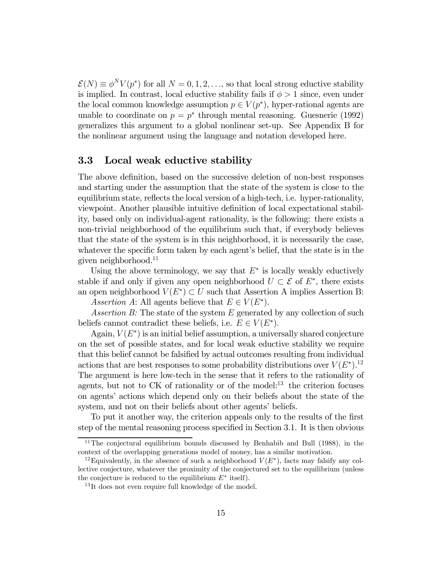$\mathcal{E}(N) \equiv \phi^N V(p^*)$  for all  $N = 0, 1, 2, \ldots$ , so that local strong eductive stability is implied. In contrast, local eductive stability fails if  $\phi > 1$  since, even under the local common knowledge assumption  $p \in V(p^*)$ , hyper-rational agents are unable to coordinate on  $p = p^*$  through mental reasoning. Guesnerie (1992) generalizes this argument to a global nonlinear set-up. See Appendix B for the nonlinear argument using the language and notation developed here.

### 3.3 Local weak eductive stability

The above definition, based on the successive deletion of non-best responses and starting under the assumption that the state of the system is close to the equilibrium state, reflects the local version of a high-tech, i.e. hyper-rationality, viewpoint. Another plausible intuitive definition of local expectational stability, based only on individual-agent rationality, is the following: there exists a non-trivial neighborhood of the equilibrium such that, if everybody believes that the state of the system is in this neighborhood, it is necessarily the case, whatever the specific form taken by each agent's belief, that the state is in the given neighborhood.11

Using the above terminology, we say that  $E^*$  is locally weakly eductively stable if and only if given any open neighborhood  $U \subset \mathcal{E}$  of  $E^*$ , there exists an open neighborhood  $V(E^*)\subset U$  such that Assertion A implies Assertion B: Assertion A: All agents believe that  $E \in V(E^*)$ .

Assertion B: The state of the system  $E$  generated by any collection of such beliefs cannot contradict these beliefs, i.e.  $E \in V(E^*)$ .

Again,  $V(E^*)$  is an initial belief assumption, a universally shared conjecture on the set of possible states, and for local weak eductive stability we require that this belief cannot be falsified by actual outcomes resulting from individual actions that are best responses to some probability distributions over  $V(E^*)$ .<sup>12</sup> The argument is here low-tech in the sense that it refers to the rationality of agents, but not to  $CK$  of rationality or of the model:<sup>13</sup> the criterion focuses on agents' actions which depend only on their beliefs about the state of the system, and not on their beliefs about other agents' beliefs.

To put it another way, the criterion appeals only to the results of the first step of the mental reasoning process specified in Section 3.1. It is then obvious

 $11$ The conjectural equilibrium bounds discussed by Benhabib and Bull (1988), in the context of the overlapping generations model of money, has a similar motivation.

<sup>&</sup>lt;sup>12</sup>Equivalently, in the absence of such a neighborhood  $V(E^*)$ , facts may falsify any collective conjecture, whatever the proximity of the conjectured set to the equilibrium (unless the conjecture is reduced to the equilibrium  $E^*$  itself).

<sup>&</sup>lt;sup>13</sup>It does not even require full knowledge of the model.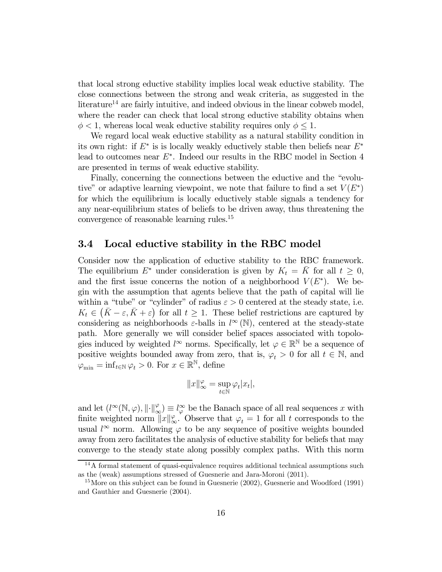that local strong eductive stability implies local weak eductive stability. The close connections between the strong and weak criteria, as suggested in the literature<sup>14</sup> are fairly intuitive, and indeed obvious in the linear cobweb model, where the reader can check that local strong eductive stability obtains when  $\phi$  < 1, whereas local weak eductive stability requires only  $\phi \leq 1$ .

We regard local weak eductive stability as a natural stability condition in its own right: if  $E^*$  is is locally weakly eductively stable then beliefs near  $E^*$ lead to outcomes near  $E^*$ . Indeed our results in the RBC model in Section 4 are presented in terms of weak eductive stability.

Finally, concerning the connections between the eductive and the "evolutive" or adaptive learning viewpoint, we note that failure to find a set  $V(E^*)$ for which the equilibrium is locally eductively stable signals a tendency for any near-equilibrium states of beliefs to be driven away, thus threatening the convergence of reasonable learning rules.15

#### 3.4 Local eductive stability in the RBC model

Consider now the application of eductive stability to the RBC framework. The equilibrium  $E^*$  under consideration is given by  $K_t = \overline{K}$  for all  $t \geq 0$ , and the first issue concerns the notion of a neighborhood  $V(E^*)$ . We begin with the assumption that agents believe that the path of capital will lie within a "tube" or "cylinder" of radius  $\varepsilon > 0$  centered at the steady state, i.e.  $K_t \in (\bar{K} - \varepsilon, \bar{K} + \varepsilon)$  for all  $t \geq 1$ . These belief restrictions are captured by considering as neighborhoods  $\varepsilon$ -balls in  $l^{\infty}(\mathbb{N})$ , centered at the steady-state path. More generally we will consider belief spaces associated with topologies induced by weighted  $l^{\infty}$  norms. Specifically, let  $\varphi \in \mathbb{R}^{\mathbb{N}}$  be a sequence of positive weights bounded away from zero, that is,  $\varphi_t > 0$  for all  $t \in \mathbb{N}$ , and  $\varphi_{\min} = \inf_{t \in \mathbb{N}} \varphi_t > 0$ . For  $x \in \mathbb{R}^{\mathbb{N}}$ , define

$$
||x||_{\infty}^{\varphi} = \sup_{t \in \mathbb{N}} \varphi_t |x_t|,
$$

and let  $(l^{\infty}(\mathbb{N}, \varphi), \| \cdot \|_{\infty}^{\varphi}) \equiv l^{\infty}_{\varphi}$  be the Banach space of all real sequences x with finite weighted norm  $||x||_{\infty}^{\varphi}$ . Observe that  $\varphi_t = 1$  for all t corresponds to the usual  $l^{\infty}$  norm. Allowing  $\varphi$  to be any sequence of positive weights bounded away from zero facilitates the analysis of eductive stability for beliefs that may converge to the steady state along possibly complex paths. With this norm

 $14A$  formal statement of quasi-equivalence requires additional technical assumptions such as the (weak) assumptions stressed of Guesnerie and Jara-Moroni (2011).

 $15$ More on this subject can be found in Guesnerie (2002), Guesnerie and Woodford (1991) and Gauthier and Guesnerie (2004).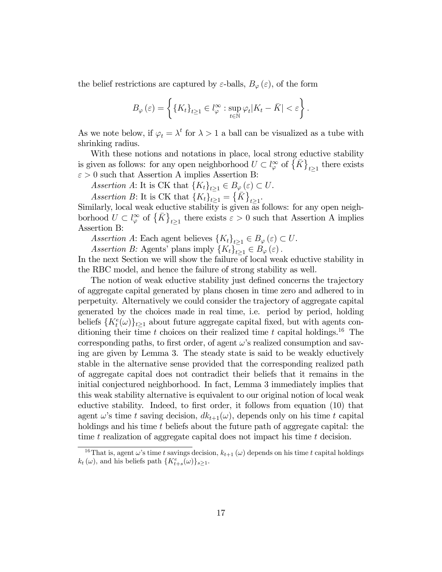the belief restrictions are captured by  $\varepsilon$ -balls,  $B_{\varphi}(\varepsilon)$ , of the form

$$
B_{\varphi}(\varepsilon) = \left\{ \{K_t\}_{t \ge 1} \in l_{\varphi}^{\infty} : \sup_{t \in \mathbb{N}} \varphi_t | K_t - \bar{K} | < \varepsilon \right\}.
$$

As we note below, if  $\varphi_t = \lambda^t$  for  $\lambda > 1$  a ball can be visualized as a tube with shrinking radius.

With these notions and notations in place, local strong eductive stability is given as follows: for any open neighborhood  $U \subset l_{\varphi}^{\infty}$  of  $\{K\}_{t\geq 1}$  there exists  $\varepsilon > 0$  such that Assertion A implies Assertion B:

Assertion A: It is CK that  ${K_t}_{t\geq 1} \in B_\varphi(\varepsilon) \subset U$ .

Assertion B: It is CK that  ${K_t}_{t\geq 1}^{\dagger} = {\overline{K}}_{t\geq 1}$ .<br>Similarly, local weak eductive stability is given as follows: for any open neighborhood  $U \subset l_{\varphi}^{\infty}$  of  $\{ \bar{K} \}_{t \geq 1}$  there exists  $\varepsilon > 0$  such that Assertion A implies Assertion B:

Assertion A: Each agent believes  $\{K_t\}_{t>1} \in B_{\varphi}(\varepsilon) \subset U$ .

Assertion B: Agents' plans imply  ${K_t}_{t>1} \in B_{\varphi}(\varepsilon)$ .

In the next Section we will show the failure of local weak eductive stability in the RBC model, and hence the failure of strong stability as well.

The notion of weak eductive stability just defined concerns the trajectory of aggregate capital generated by plans chosen in time zero and adhered to in perpetuity. Alternatively we could consider the trajectory of aggregate capital generated by the choices made in real time, i.e. period by period, holding beliefs  ${K_t^e(\omega)}_{t\geq 1}$  about future aggregate capital fixed, but with agents conditioning their time  $t$  choices on their realized time  $t$  capital holdings.<sup>16</sup> The corresponding paths, to first order, of agent  $\omega$ 's realized consumption and saving are given by Lemma 3. The steady state is said to be weakly eductively stable in the alternative sense provided that the corresponding realized path of aggregate capital does not contradict their beliefs that it remains in the initial conjectured neighborhood. In fact, Lemma 3 immediately implies that this weak stability alternative is equivalent to our original notion of local weak eductive stability. Indeed, to first order, it follows from equation (10) that agent  $\omega$ 's time t saving decision,  $dk_{t+1}(\omega)$ , depends only on his time t capital holdings and his time  $t$  beliefs about the future path of aggregate capital: the time  $t$  realization of aggregate capital does not impact his time  $t$  decision.

<sup>&</sup>lt;sup>16</sup>That is, agent  $\omega$ 's time *t* savings decision,  $k_{t+1} (\omega)$  depends on his time *t* capital holdings  $k_t(\omega)$ , and his beliefs path  $\{K_{t+s}^e(\omega)\}_{s\geq 1}$ .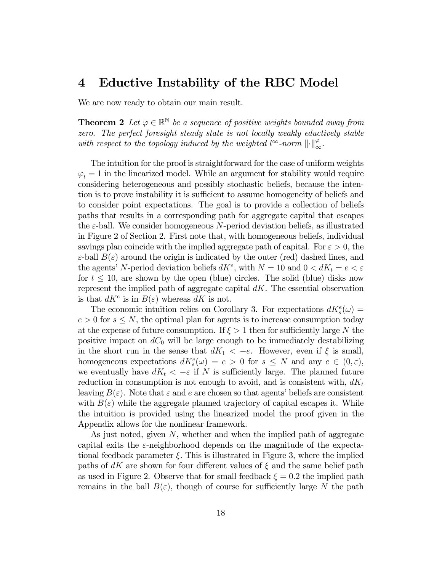### 4 Eductive Instability of the RBC Model

We are now ready to obtain our main result.

**Theorem 2** Let  $\varphi \in \mathbb{R}^{\mathbb{N}}$  be a sequence of positive weights bounded away from zero. The perfect foresight steady state is not locally weakly eductively stable with respect to the topology induced by the weighted  $l^{\infty}$ -norm  $\lVert \cdot \rVert_{\infty}^{\varphi}$ .

The intuition for the proof is straightforward for the case of uniform weights  $\varphi_t = 1$  in the linearized model. While an argument for stability would require considering heterogeneous and possibly stochastic beliefs, because the intention is to prove instability it is sufficient to assume homogeneity of beliefs and to consider point expectations. The goal is to provide a collection of beliefs paths that results in a corresponding path for aggregate capital that escapes the  $\varepsilon$ -ball. We consider homogeneous N-period deviation beliefs, as illustrated in Figure 2 of Section 2. First note that, with homogeneous beliefs, individual savings plan coincide with the implied aggregate path of capital. For  $\varepsilon > 0$ , the  $\varepsilon$ -ball  $B(\varepsilon)$  around the origin is indicated by the outer (red) dashed lines, and the agents' N-period deviation beliefs  $dK^e$ , with  $N = 10$  and  $0 < dK_t = e < \varepsilon$ for  $t \leq 10$ , are shown by the open (blue) circles. The solid (blue) disks now represent the implied path of aggregate capital  $dK$ . The essential observation is that  $dK^e$  is in  $B(\varepsilon)$  whereas  $dK$  is not.

The economic intuition relies on Corollary 3. For expectations  $dK_s^e(\omega) =$  $e > 0$  for  $s \leq N$ , the optimal plan for agents is to increase consumption today at the expense of future consumption. If  $\xi > 1$  then for sufficiently large N the positive impact on  $dC_0$  will be large enough to be immediately destabilizing in the short run in the sense that  $dK_1 < -e$ . However, even if  $\xi$  is small, homogeneous expectations  $dK_s^e(\omega) = e > 0$  for  $s \leq N$  and any  $e \in (0, \varepsilon)$ , we eventually have  $dK_t < -\varepsilon$  if N is sufficiently large. The planned future reduction in consumption is not enough to avoid, and is consistent with,  $dK_t$ leaving  $B(\varepsilon)$ . Note that  $\varepsilon$  and  $e$  are chosen so that agents' beliefs are consistent with  $B(\varepsilon)$  while the aggregate planned trajectory of capital escapes it. While the intuition is provided using the linearized model the proof given in the Appendix allows for the nonlinear framework.

As just noted, given  $N$ , whether and when the implied path of aggregate capital exits the  $\varepsilon$ -neighborhood depends on the magnitude of the expectational feedback parameter  $\xi$ . This is illustrated in Figure 3, where the implied paths of dK are shown for four different values of  $\xi$  and the same belief path as used in Figure 2. Observe that for small feedback  $\xi = 0.2$  the implied path remains in the ball  $B(\varepsilon)$ , though of course for sufficiently large N the path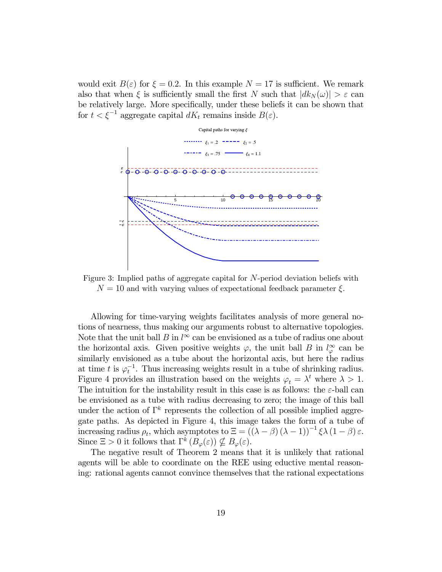would exit  $B(\varepsilon)$  for  $\xi = 0.2$ . In this example  $N = 17$  is sufficient. We remark also that when  $\xi$  is sufficiently small the first N such that  $| d k_N(\omega) | > \varepsilon$  can be relatively large. More specifically, under these beliefs it can be shown that for  $t < \xi^{-1}$  aggregate capital  $dK_t$  remains inside  $B(\varepsilon)$ .



Figure 3: Implied paths of aggregate capital for  $N$ -period deviation beliefs with  $N = 10$  and with varying values of expectational feedback parameter  $\xi$ .

Allowing for time-varying weights facilitates analysis of more general notions of nearness, thus making our arguments robust to alternative topologies. Note that the unit ball  $B$  in  $l^{\infty}$  can be envisioned as a tube of radius one about the horizontal axis. Given positive weights  $\varphi$ , the unit ball B in  $l_{\varphi}^{\infty}$  can be similarly envisioned as a tube about the horizontal axis, but here the radius at time t is  $\varphi_t^{-1}$ . Thus increasing weights result in a tube of shrinking radius. Figure 4 provides an illustration based on the weights  $\varphi_t = \lambda^t$  where  $\lambda > 1$ . The intuition for the instability result in this case is as follows: the  $\varepsilon$ -ball can be envisioned as a tube with radius decreasing to zero; the image of this ball under the action of  $\Gamma^k$  represents the collection of all possible implied aggregate paths. As depicted in Figure 4, this image takes the form of a tube of increasing radius  $\rho_t$ , which asymptotes to  $\Xi = ((\lambda - \beta) (\lambda - 1))^{-1} \xi \lambda (1 - \beta) \varepsilon$ . Since  $\Xi > 0$  it follows that  $\Gamma^k(B_{\varphi}(\varepsilon)) \nsubseteq B_{\varphi}(\varepsilon)$ .

The negative result of Theorem 2 means that it is unlikely that rational agents will be able to coordinate on the REE using eductive mental reasoning: rational agents cannot convince themselves that the rational expectations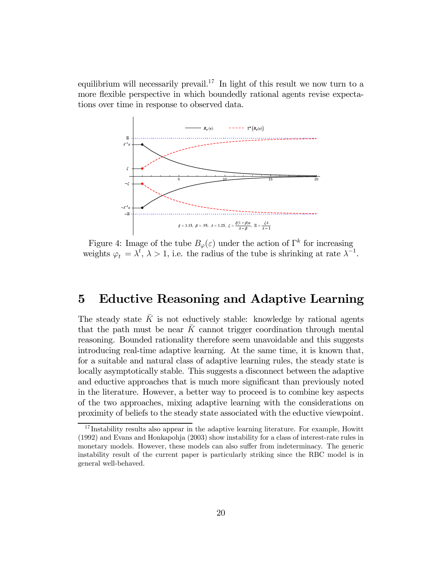equilibrium will necessarily prevail.<sup>17</sup> In light of this result we now turn to a more flexible perspective in which boundedly rational agents revise expectations over time in response to observed data.



Figure 4: Image of the tube  $B_{\varphi}(\varepsilon)$  under the action of  $\Gamma^k$  for increasing weights  $\varphi_t = \lambda^t$ ,  $\lambda > 1$ , i.e. the radius of the tube is shrinking at rate  $\lambda^{-1}$ .

# 5 Eductive Reasoning and Adaptive Learning

The steady state  $\bar{K}$  is not eductively stable: knowledge by rational agents that the path must be near  $\bar{K}$  cannot trigger coordination through mental reasoning. Bounded rationality therefore seem unavoidable and this suggests introducing real-time adaptive learning. At the same time, it is known that, for a suitable and natural class of adaptive learning rules, the steady state is locally asymptotically stable. This suggests a disconnect between the adaptive and eductive approaches that is much more significant than previously noted in the literature. However, a better way to proceed is to combine key aspects of the two approaches, mixing adaptive learning with the considerations on proximity of beliefs to the steady state associated with the eductive viewpoint.

<sup>&</sup>lt;sup>17</sup>Instability results also appear in the adaptive learning literature. For example, Howitt (1992) and Evans and Honkapohja (2003) show instability for a class of interest-rate rules in monetary models. However, these models can also suffer from indeterminacy. The generic instability result of the current paper is particularly striking since the RBC model is in general well-behaved.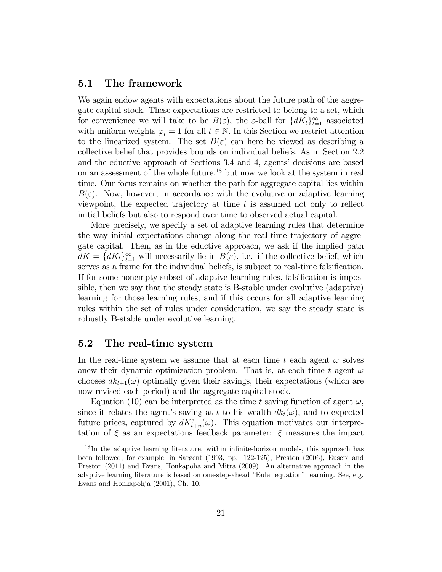#### 5.1 The framework

We again endow agents with expectations about the future path of the aggregate capital stock. These expectations are restricted to belong to a set, which for convenience we will take to be  $B(\varepsilon)$ , the  $\varepsilon$ -ball for  ${dK_t}_{t=1}^{\infty}$  associated with uniform weights  $\varphi_t = 1$  for all  $t \in \mathbb{N}$ . In this Section we restrict attention to the linearized system. The set  $B(\varepsilon)$  can here be viewed as describing a collective belief that provides bounds on individual beliefs. As in Section 2.2 and the eductive approach of Sections 3.4 and 4, agents' decisions are based on an assessment of the whole future,<sup>18</sup> but now we look at the system in real time. Our focus remains on whether the path for aggregate capital lies within  $B(\varepsilon)$ . Now, however, in accordance with the evolutive or adaptive learning viewpoint, the expected trajectory at time  $t$  is assumed not only to reflect initial beliefs but also to respond over time to observed actual capital.

More precisely, we specify a set of adaptive learning rules that determine the way initial expectations change along the real-time trajectory of aggregate capital. Then, as in the eductive approach, we ask if the implied path  $dK = \{dK_t\}_{t=1}^{\infty}$  will necessarily lie in  $B(\varepsilon)$ , i.e. if the collective belief, which serves as a frame for the individual beliefs, is subject to real-time falsification. If for some nonempty subset of adaptive learning rules, falsification is impossible, then we say that the steady state is B-stable under evolutive (adaptive) learning for those learning rules, and if this occurs for all adaptive learning rules within the set of rules under consideration, we say the steady state is robustly B-stable under evolutive learning.

### 5.2 The real-time system

In the real-time system we assume that at each time t each agent  $\omega$  solves anew their dynamic optimization problem. That is, at each time t agent  $\omega$ chooses  $dk_{t+1}(\omega)$  optimally given their savings, their expectations (which are now revised each period) and the aggregate capital stock.

Equation (10) can be interpreted as the time t saving function of agent  $\omega$ , since it relates the agent's saving at t to his wealth  $dk_t(\omega)$ , and to expected future prices, captured by  $dK_{t+n}^{e}(\omega)$ . This equation motivates our interpretation of  $\xi$  as an expectations feedback parameter:  $\xi$  measures the impact

<sup>18</sup> In the adaptive learning literature, within infinite-horizon models, this approach has been followed, for example, in Sargent (1993, pp. 122-125), Preston (2006), Eusepi and Preston (2011) and Evans, Honkapoha and Mitra (2009). An alternative approach in the adaptive learning literature is based on one-step-ahead "Euler equation" learning. See, e.g. Evans and Honkapohja (2001), Ch. 10.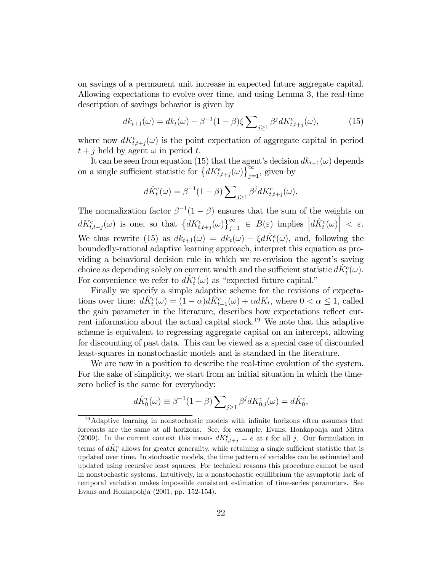on savings of a permanent unit increase in expected future aggregate capital. Allowing expectations to evolve over time, and using Lemma 3, the real-time description of savings behavior is given by

$$
dk_{t+1}(\omega) = dk_t(\omega) - \beta^{-1}(1-\beta)\xi \sum_{j\geq 1} \beta^j dK_{t,t+j}^e(\omega),\tag{15}
$$

where now  $dK_{t,t+j}^{e}(\omega)$  is the point expectation of aggregate capital in period  $t + j$  held by agent  $\omega$  in period t.

It can be seen from equation (15) that the agent's decision  $dk_{t+1}(\omega)$  depends on a single sufficient statistic for  $\left\{ dK_{t,t+j}^{e}(\omega)\right\}_{j=1}^{\infty}$ , given by

$$
d\hat{K}_t^e(\omega) = \beta^{-1}(1-\beta) \sum\nolimits_{j \geq 1} \beta^j dK_{t,t+j}^e(\omega).
$$

The normalization factor  $\beta^{-1}(1-\beta)$  ensures that the sum of the weights on  $dK_{t,t+j}^{e}(\omega)$  is one, so that  $\left\{dK_{t,t+j}^{e}(\omega)\right\}_{j=1}^{\infty} \in B(\varepsilon)$  implies  $\left|d\hat{K}_{t}^{e}(\omega)\right| < \varepsilon$ . We thus rewrite (15) as  $dk_{t+1}(\omega) = dk_t(\omega) - \xi d\hat{K}_t^e(\omega)$ , and, following the boundedly-rational adaptive learning approach, interpret this equation as providing a behavioral decision rule in which we re-envision the agent's saving choice as depending solely on current wealth and the sufficient statistic  $d\hat{K}_t^e(\omega)$ . For convenience we refer to  $d\hat{K}_t^e(\omega)$  as "expected future capital."

Finally we specify a simple adaptive scheme for the revisions of expectations over time:  $d\hat{K}_t^e(\omega) = (1 - \alpha)d\hat{K}_{t-1}^e(\omega) + \alpha dK_t$ , where  $0 < \alpha \leq 1$ , called the gain parameter in the literature, describes how expectations reflect current information about the actual capital stock.<sup>19</sup> We note that this adaptive scheme is equivalent to regressing aggregate capital on an intercept, allowing for discounting of past data. This can be viewed as a special case of discounted least-squares in nonstochastic models and is standard in the literature.

We are now in a position to describe the real-time evolution of the system. For the sake of simplicity, we start from an initial situation in which the timezero belief is the same for everybody:

$$
d\hat{K}_0^e(\omega) \equiv \beta^{-1}(1-\beta) \sum_{j \ge 1} \beta^j dK_{0,j}^e(\omega) = d\hat{K}_0^e,
$$

<sup>&</sup>lt;sup>19</sup>Adaptive learning in nonstochastic models with infinite horizons often assumes that forecasts are the same at all horizons. See, for example, Evans, Honkapohja and Mitra (2009). In the current context this means  $dK_{t,t+j}^e = e$  at t for all j. Our formulation in terms of  $d\hat{K}^e_t$  allows for greater generality, while retaining a single sufficient statistic that is updated over time. In stochastic models, the time pattern of variables can be estimated and updated using recursive least squares. For technical reasons this procedure cannot be used in nonstochastic systems. Intuitively, in a nonstochastic equilibrium the asymptotic lack of temporal variation makes impossible consistent estimation of time-series parameters. See Evans and Honkapohja (2001, pp. 152-154).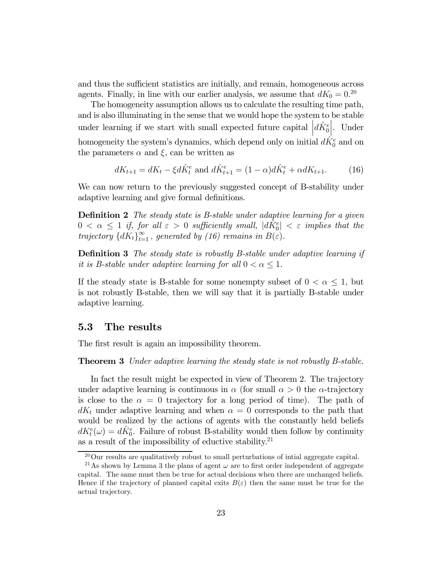and thus the sufficient statistics are initially, and remain, homogeneous across agents. Finally, in line with our earlier analysis, we assume that  $dK_0 = 0.^{20}$ 

The homogeneity assumption allows us to calculate the resulting time path, and is also illuminating in the sense that we would hope the system to be stable under learning if we start with small expected future capital  $\left| d\hat{K}_{0}^{e} \right|$ |. Under homogeneity the system's dynamics, which depend only on initial  $d\hat{K}_{0}^{e}$  and on the parameters  $\alpha$  and  $\xi$ , can be written as

$$
dK_{t+1} = dK_t - \xi d\hat{K}_t^e \text{ and } d\hat{K}_{t+1}^e = (1 - \alpha)d\hat{K}_t^e + \alpha dK_{t+1}.
$$
 (16)

We can now return to the previously suggested concept of B-stability under adaptive learning and give formal definitions.

Definition 2 The steady state is B-stable under adaptive learning for a given  $0 < \alpha \leq 1$  if, for all  $\varepsilon > 0$  sufficiently small,  $|d\tilde{K}_0^e| < \varepsilon$  implies that the trajectory  ${dK_t}_{t=1}^{\infty}$ , generated by (16) remains in  $B(\varepsilon)$ .

**Definition 3** The steady state is robustly B-stable under adaptive learning if it is B-stable under adaptive learning for all  $0 < \alpha \leq 1$ .

If the steady state is B-stable for some nonempty subset of  $0 < \alpha \leq 1$ , but is not robustly B-stable, then we will say that it is partially B-stable under adaptive learning.

#### 5.3 The results

The first result is again an impossibility theorem.

**Theorem 3** Under adaptive learning the steady state is not robustly B-stable.

In fact the result might be expected in view of Theorem 2. The trajectory under adaptive learning is continuous in  $\alpha$  (for small  $\alpha > 0$  the  $\alpha$ -trajectory is close to the  $\alpha = 0$  trajectory for a long period of time). The path of  $dK_t$  under adaptive learning and when  $\alpha = 0$  corresponds to the path that would be realized by the actions of agents with the constantly held beliefs  $dK_t^e(\omega) = d\hat{K}_0^e$ . Failure of robust B-stability would then follow by continuity as a result of the impossibility of eductive stability. $21$ 

<sup>20</sup>Our results are qualitatively robust to small perturbations of intial aggregate capital.

<sup>&</sup>lt;sup>21</sup>As shown by Lemma 3 the plans of agent  $\omega$  are to first order independent of aggregate capital. The same must then be true for actual decisions when there are unchanged beliefs. Hence if the trajectory of planned capital exits  $B(\varepsilon)$  then the same must be true for the actual trajectory.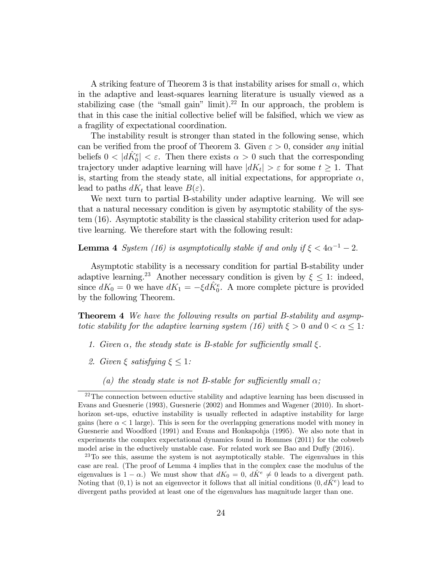A striking feature of Theorem 3 is that instability arises for small  $\alpha$ , which in the adaptive and least-squares learning literature is usually viewed as a stabilizing case (the "small gain" limit).<sup>22</sup> In our approach, the problem is that in this case the initial collective belief will be falsified, which we view as a fragility of expectational coordination.

The instability result is stronger than stated in the following sense, which can be verified from the proof of Theorem 3. Given  $\varepsilon > 0$ , consider any initial beliefs  $0 < |d\hat{K}_0^e| < \varepsilon$ . Then there exists  $\alpha > 0$  such that the corresponding trajectory under adaptive learning will have  $|dK_t| > \varepsilon$  for some  $t \geq 1$ . That is, starting from the steady state, all initial expectations, for appropriate  $\alpha$ , lead to paths  $dK_t$  that leave  $B(\varepsilon)$ .

We next turn to partial B-stability under adaptive learning. We will see that a natural necessary condition is given by asymptotic stability of the system (16). Asymptotic stability is the classical stability criterion used for adaptive learning. We therefore start with the following result:

**Lemma 4** System (16) is asymptotically stable if and only if  $\xi < 4\alpha^{-1} - 2$ .

Asymptotic stability is a necessary condition for partial B-stability under adaptive learning.<sup>23</sup> Another necessary condition is given by  $\xi \leq 1$ : indeed, since  $dK_0 = 0$  we have  $dK_1 = -\xi d\hat{K}_0^e$ . A more complete picture is provided by the following Theorem.

**Theorem 4** We have the following results on partial B-stability and asymptotic stability for the adaptive learning system (16) with  $\xi > 0$  and  $0 < \alpha \leq 1$ :

- 1. Given  $\alpha$ , the steady state is B-stable for sufficiently small  $\xi$ .
- 2. Given  $\xi$  satisfying  $\xi \leq 1$ :
	- (a) the steady state is not B-stable for sufficiently small  $\alpha$ ;

 $22$ The connection between eductive stability and adaptive learning has been discussed in Evans and Guesnerie (1993), Guesnerie (2002) and Hommes and Wagener (2010). In shorthorizon set-ups, eductive instability is usually reflected in adaptive instability for large gains (here  $\alpha < 1$  large). This is seen for the overlapping generations model with money in Guesnerie and Woodford (1991) and Evans and Honkapohja (1995). We also note that in experiments the complex expectational dynamics found in Hommes (2011) for the cobweb model arise in the eductively unstable case. For related work see Bao and Duffy (2016).

<sup>23</sup>To see this, assume the system is not asymptotically stable. The eigenvalues in this case are real. (The proof of Lemma 4 implies that in the complex case the modulus of the eigenvalues is  $1 - \alpha$ .) We must show that  $dK_0 = 0$ ,  $dK^e \neq 0$  leads to a divergent path. Noting that  $(0, 1)$  is not an eigenvector it follows that all initial conditions  $(0, dK^e)$  lead to divergent paths provided at least one of the eigenvalues has magnitude larger than one.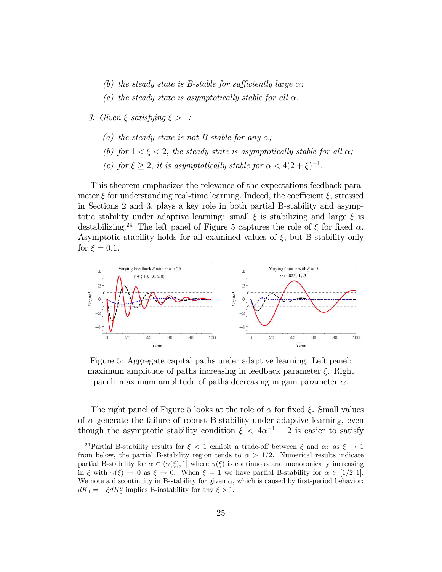- (b) the steady state is B-stable for sufficiently large  $\alpha$ ;
- (c) the steady state is asymptotically stable for all  $\alpha$ .
- 3. Given  $\xi$  satisfying  $\xi > 1$ :
	- (a) the steady state is not B-stable for any  $\alpha$ ;
	- (b) for  $1 < \xi < 2$ , the steady state is asymptotically stable for all  $\alpha$ ;
	- (c) for  $\xi \geq 2$ , it is asymptotically stable for  $\alpha < 4(2 + \xi)^{-1}$ .

This theorem emphasizes the relevance of the expectations feedback parameter  $\xi$  for understanding real-time learning. Indeed, the coefficient  $\xi$ , stressed in Sections 2 and 3, plays a key role in both partial B-stability and asymptotic stability under adaptive learning: small  $\xi$  is stabilizing and large  $\xi$  is destabilizing.<sup>24</sup> The left panel of Figure 5 captures the role of  $\xi$  for fixed  $\alpha$ . Asymptotic stability holds for all examined values of  $\xi$ , but B-stability only for  $\xi = 0.1$ .



Figure 5: Aggregate capital paths under adaptive learning. Left panel: maximum amplitude of paths increasing in feedback parameter  $\xi$ . Right panel: maximum amplitude of paths decreasing in gain parameter  $\alpha$ .

The right panel of Figure 5 looks at the role of  $\alpha$  for fixed  $\xi$ . Small values of  $\alpha$  generate the failure of robust B-stability under adaptive learning, even though the asymptotic stability condition  $\xi < 4\alpha^{-1} - 2$  is easier to satisfy

<sup>&</sup>lt;sup>24</sup>Partial B-stability results for  $\xi$  < 1 exhibit a trade-off between  $\xi$  and  $\alpha$ : as  $\xi \to 1$ from below, the partial B-stability region tends to  $\alpha > 1/2$ . Numerical results indicate partial B-stability for  $\alpha \in (\gamma(\xi), 1]$  where  $\gamma(\xi)$  is continuous and monotonically increasing in  $\xi$  with  $\gamma(\xi) \to 0$  as  $\xi \to 0$ . When  $\xi = 1$  we have partial B-stability for  $\alpha \in [1/2, 1]$ . We note a discontinuity in B-stability for given  $\alpha$ , which is caused by first-period behavior:  $dK_1 = -\xi dK_0^e$  implies B-instability for any  $\xi > 1$ .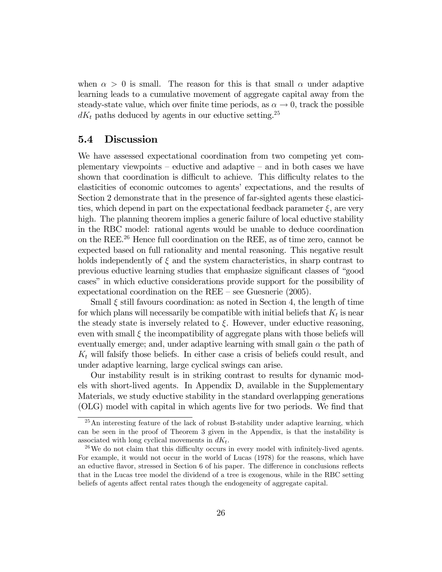when  $\alpha > 0$  is small. The reason for this is that small  $\alpha$  under adaptive learning leads to a cumulative movement of aggregate capital away from the steady-state value, which over finite time periods, as  $\alpha \to 0$ , track the possible  $dK_t$  paths deduced by agents in our eductive setting.<sup>25</sup>

#### 5.4 Discussion

We have assessed expectational coordination from two competing yet complementary viewpoints — eductive and adaptive — and in both cases we have shown that coordination is difficult to achieve. This difficulty relates to the elasticities of economic outcomes to agents' expectations, and the results of Section 2 demonstrate that in the presence of far-sighted agents these elasticities, which depend in part on the expectational feedback parameter  $\xi$ , are very high. The planning theorem implies a generic failure of local eductive stability in the RBC model: rational agents would be unable to deduce coordination on the REE.26 Hence full coordination on the REE, as of time zero, cannot be expected based on full rationality and mental reasoning. This negative result holds independently of  $\xi$  and the system characteristics, in sharp contrast to previous eductive learning studies that emphasize significant classes of "good cases" in which eductive considerations provide support for the possibility of expectational coordination on the REE — see Guesnerie (2005).

Small  $\xi$  still favours coordination: as noted in Section 4, the length of time for which plans will necessarily be compatible with initial beliefs that  $K_t$  is near the steady state is inversely related to  $\xi$ . However, under eductive reasoning, even with small  $\xi$  the incompatibility of aggregate plans with those beliefs will eventually emerge; and, under adaptive learning with small gain  $\alpha$  the path of  $K_t$  will falsify those beliefs. In either case a crisis of beliefs could result, and under adaptive learning, large cyclical swings can arise.

Our instability result is in striking contrast to results for dynamic models with short-lived agents. In Appendix D, available in the Supplementary Materials, we study eductive stability in the standard overlapping generations (OLG) model with capital in which agents live for two periods. We find that

 $^{25}$ An interesting feature of the lack of robust B-stability under adaptive learning, which can be seen in the proof of Theorem 3 given in the Appendix, is that the instability is associated with long cyclical movements in  $dK_t$ .<br><sup>26</sup>We do not claim that this difficulty occurs in every model with infinitely-lived agents.

For example, it would not occur in the world of Lucas (1978) for the reasons, which have an eductive flavor, stressed in Section 6 of his paper. The difference in conclusions reflects that in the Lucas tree model the dividend of a tree is exogenous, while in the RBC setting beliefs of agents affect rental rates though the endogeneity of aggregate capital.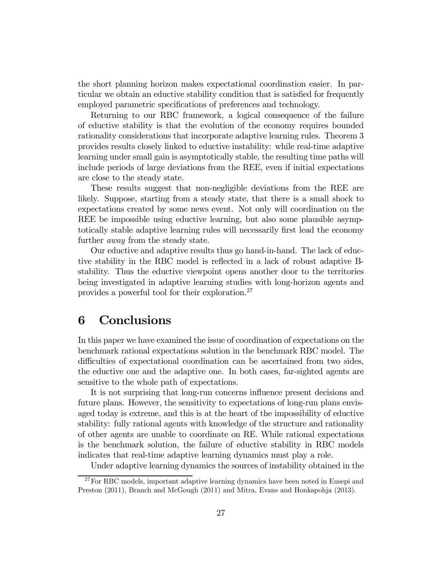the short planning horizon makes expectational coordination easier. In particular we obtain an eductive stability condition that is satisfied for frequently employed parametric specifications of preferences and technology.

Returning to our RBC framework, a logical consequence of the failure of eductive stability is that the evolution of the economy requires bounded rationality considerations that incorporate adaptive learning rules. Theorem 3 provides results closely linked to eductive instability: while real-time adaptive learning under small gain is asymptotically stable, the resulting time paths will include periods of large deviations from the REE, even if initial expectations are close to the steady state.

These results suggest that non-negligible deviations from the REE are likely. Suppose, starting from a steady state, that there is a small shock to expectations created by some news event. Not only will coordination on the REE be impossible using eductive learning, but also some plausible asymptotically stable adaptive learning rules will necessarily first lead the economy further *away* from the steady state.

Our eductive and adaptive results thus go hand-in-hand. The lack of eductive stability in the RBC model is reflected in a lack of robust adaptive Bstability. Thus the eductive viewpoint opens another door to the territories being investigated in adaptive learning studies with long-horizon agents and provides a powerful tool for their exploration.27

### 6 Conclusions

In this paper we have examined the issue of coordination of expectations on the benchmark rational expectations solution in the benchmark RBC model. The difficulties of expectational coordination can be ascertained from two sides, the eductive one and the adaptive one. In both cases, far-sighted agents are sensitive to the whole path of expectations.

It is not surprising that long-run concerns influence present decisions and future plans. However, the sensitivity to expectations of long-run plans envisaged today is extreme, and this is at the heart of the impossibility of eductive stability: fully rational agents with knowledge of the structure and rationality of other agents are unable to coordinate on RE. While rational expectations is the benchmark solution, the failure of eductive stability in RBC models indicates that real-time adaptive learning dynamics must play a role.

Under adaptive learning dynamics the sources of instability obtained in the

 $27$  For RBC models, important adaptive learning dynamics have been noted in Eusepi and Preston (2011), Branch and McGough (2011) and Mitra, Evans and Honkapohja (2013).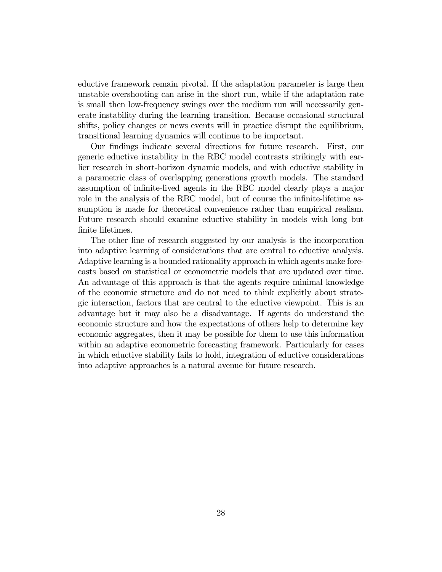eductive framework remain pivotal. If the adaptation parameter is large then unstable overshooting can arise in the short run, while if the adaptation rate is small then low-frequency swings over the medium run will necessarily generate instability during the learning transition. Because occasional structural shifts, policy changes or news events will in practice disrupt the equilibrium, transitional learning dynamics will continue to be important.

Our findings indicate several directions for future research. First, our generic eductive instability in the RBC model contrasts strikingly with earlier research in short-horizon dynamic models, and with eductive stability in a parametric class of overlapping generations growth models. The standard assumption of infinite-lived agents in the RBC model clearly plays a major role in the analysis of the RBC model, but of course the infinite-lifetime assumption is made for theoretical convenience rather than empirical realism. Future research should examine eductive stability in models with long but finite lifetimes.

The other line of research suggested by our analysis is the incorporation into adaptive learning of considerations that are central to eductive analysis. Adaptive learning is a bounded rationality approach in which agents make forecasts based on statistical or econometric models that are updated over time. An advantage of this approach is that the agents require minimal knowledge of the economic structure and do not need to think explicitly about strategic interaction, factors that are central to the eductive viewpoint. This is an advantage but it may also be a disadvantage. If agents do understand the economic structure and how the expectations of others help to determine key economic aggregates, then it may be possible for them to use this information within an adaptive econometric forecasting framework. Particularly for cases in which eductive stability fails to hold, integration of eductive considerations into adaptive approaches is a natural avenue for future research.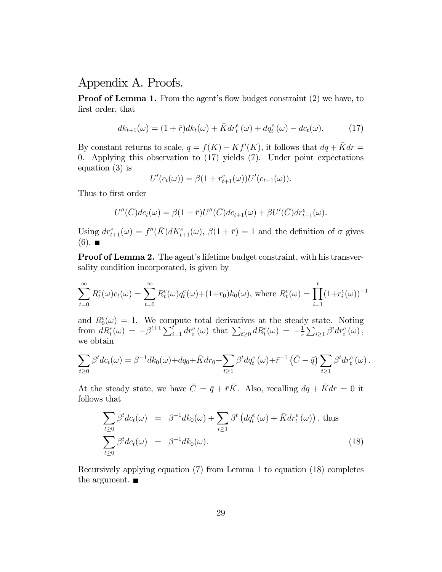### Appendix A. Proofs.

**Proof of Lemma 1.** From the agent's flow budget constraint (2) we have, to first order, that

$$
dk_{t+1}(\omega) = (1+\bar{r})dk_t(\omega) + \bar{K}dr_t^e(\omega) + dq_t^e(\omega) - dc_t(\omega).
$$
 (17)

By constant returns to scale,  $q = f(K) - Kf'(K)$ , it follows that  $dq + \bar{K}dr =$ 0. Applying this observation to (17) yields (7). Under point expectations equation (3) is

$$
U'(c_t(\omega)) = \beta(1 + r_{t+1}^e(\omega))U'(c_{t+1}(\omega)).
$$

Thus to first order

$$
U''(\overline{C})dc_t(\omega) = \beta(1+\overline{r})U''(\overline{C})dc_{t+1}(\omega) + \beta U'(\overline{C})dr_{t+1}^e(\omega).
$$

Using  $dr_{t+1}^{e}(\omega) = f''(\bar{K})dK_{t+1}^{e}(\omega), \ \beta(1+\bar{r})=1$  and the definition of  $\sigma$  gives  $(6)$ .

Proof of Lemma 2. The agent's lifetime budget constraint, with his transversality condition incorporated, is given by

$$
\sum_{t=0}^{\infty} R_t^e(\omega) c_t(\omega) = \sum_{t=0}^{\infty} R_t^e(\omega) q_t^e(\omega) + (1+r_0) k_0(\omega), \text{ where } R_t^e(\omega) = \prod_{i=1}^t (1+r_i^e(\omega))^{-1}
$$

and  $R_0^e(\omega)=1$ . We compute total derivatives at the steady state. Noting from  $dR_t^e(\omega) = -\beta^{t+1} \sum_{i=1}^t dr_i^e(\omega)$  that  $\sum_{t\geq 0} dR_t^e(\omega) = -\frac{1}{\bar{r}} \sum_{i\geq 1} \beta^i dr_i^e(\omega)$ , we obtain

$$
\sum_{t\geq 0} \beta^t dc_t(\omega) = \beta^{-1} dk_0(\omega) + dq_0 + \bar{K} dr_0 + \sum_{t\geq 1} \beta^t dq_t^e(\omega) + \bar{r}^{-1} (\bar{C} - \bar{q}) \sum_{t\geq 1} \beta^t dr_t^e(\omega).
$$

At the steady state, we have  $\bar{C} = \bar{q} + \bar{r}\bar{K}$ . Also, recalling  $dq + \bar{K}dr = 0$  it follows that

$$
\sum_{t\geq 0} \beta^t dc_t(\omega) = \beta^{-1} dk_0(\omega) + \sum_{t\geq 1} \beta^t \left( dq_t^e(\omega) + \bar{K} dr_t^e(\omega) \right), \text{ thus}
$$
\n
$$
\sum_{t\geq 0} \beta^t dc_t(\omega) = \beta^{-1} dk_0(\omega).
$$
\n(18)

Recursively applying equation (7) from Lemma 1 to equation (18) completes the argument.  $\blacksquare$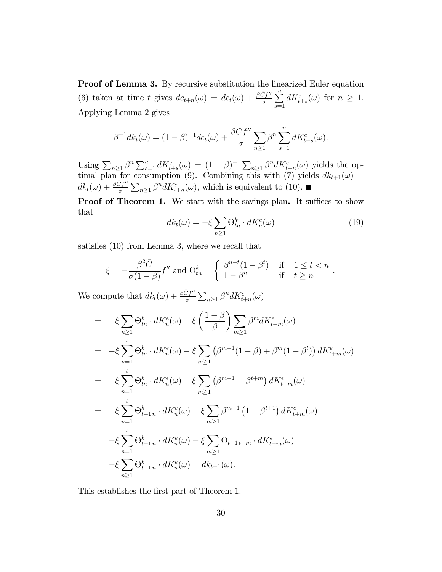Proof of Lemma 3. By recursive substitution the linearized Euler equation (6) taken at time t gives  $dc_{t+n}(\omega) = dc_t(\omega) + \frac{\beta \bar{C}f''}{\sigma} \sum_{i=1}^n$  $_{s=1}$  $dK_{t+s}^{e}(\omega)$  for  $n \geq 1$ . Applying Lemma 2 gives

$$
\beta^{-1} dk_t(\omega) = (1 - \beta)^{-1} dc_t(\omega) + \frac{\beta \bar{C} f''}{\sigma} \sum_{n \ge 1} \beta^n \sum_{s=1}^n dK_{t+s}^e(\omega).
$$

Using  $\sum_{n\geq 1} \beta^n \sum_{s=1}^n dK_{t+s}^e(\omega) = (1-\beta)^{-1} \sum_{n\geq 1} \beta^n dK_{t+n}^e(\omega)$  yields the optimal plan for consumption (9). Combining this with (7) yields  $dk_{t+1}(\omega) =$  $dk_t(\omega) + \frac{\beta \bar{C}f''}{\sigma} \sum_{n\geq 1} \beta^n dK_{t+n}^e(\omega)$ , which is equivalent to (10).

Proof of Theorem 1. We start with the savings plan. It suffices to show that

$$
dk_t(\omega) = -\xi \sum_{n \ge 1} \Theta_{tn}^k \cdot dK_n^e(\omega) \tag{19}
$$

satisfies (10) from Lemma 3, where we recall that

$$
\xi = -\frac{\beta^2 \bar{C}}{\sigma (1 - \beta)} f'' \text{ and } \Theta_{tn}^k = \begin{cases} \beta^{n-t} (1 - \beta^t) & \text{if } 1 \le t < n \\ 1 - \beta^n & \text{if } t \ge n \end{cases}.
$$

We compute that  $dk_t(\omega) + \frac{\beta \bar{C}f''}{\sigma} \sum_{n \geq 1} \beta^n dK_{t+n}^e(\omega)$ 

$$
= -\xi \sum_{n\geq 1} \Theta_{tn}^{k} \cdot dK_{n}^{e}(\omega) - \xi \left(\frac{1-\beta}{\beta}\right) \sum_{m\geq 1} \beta^{m} dK_{t+m}^{e}(\omega)
$$
  
\n
$$
= -\xi \sum_{n=1}^{t} \Theta_{tn}^{k} \cdot dK_{n}^{e}(\omega) - \xi \sum_{m\geq 1} (\beta^{m-1}(1-\beta) + \beta^{m}(1-\beta^{t})) dK_{t+m}^{e}(\omega)
$$
  
\n
$$
= -\xi \sum_{n=1}^{t} \Theta_{tn}^{k} \cdot dK_{n}^{e}(\omega) - \xi \sum_{m\geq 1} (\beta^{m-1} - \beta^{t+m}) dK_{t+m}^{e}(\omega)
$$
  
\n
$$
= -\xi \sum_{n=1}^{t} \Theta_{t+1n}^{k} \cdot dK_{n}^{e}(\omega) - \xi \sum_{m\geq 1} \beta^{m-1} (1-\beta^{t+1}) dK_{t+m}^{e}(\omega)
$$
  
\n
$$
= -\xi \sum_{n=1}^{t} \Theta_{t+1n}^{k} \cdot dK_{n}^{e}(\omega) - \xi \sum_{m\geq 1} \Theta_{t+1}^{k} \cdot dK_{t+m}^{e}(\omega)
$$
  
\n
$$
= -\xi \sum_{n\geq 1} \Theta_{t+1n}^{k} \cdot dK_{n}^{e}(\omega) = dK_{t+1}(\omega).
$$

This establishes the first part of Theorem 1.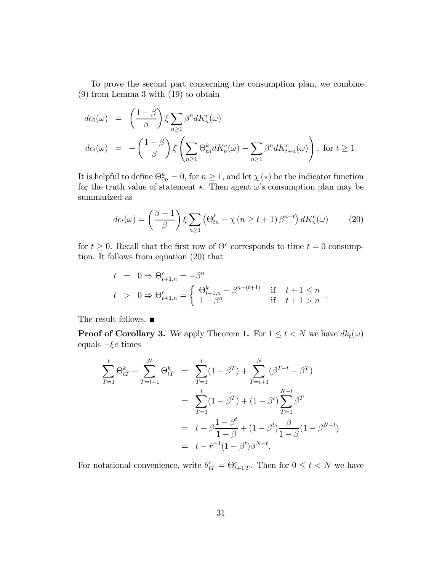To prove the second part concerning the consumption plan, we combine (9) from Lemma 3 with (19) to obtain

$$
dc_0(\omega) = \left(\frac{1-\beta}{\beta}\right) \xi \sum_{n\geq 1} \beta^n dK_n^e(\omega)
$$
  

$$
dc_t(\omega) = -\left(\frac{1-\beta}{\beta}\right) \xi \left(\sum_{n\geq 1} \Theta_{tn}^k dK_n^e(\omega) - \sum_{n\geq 1} \beta^n dK_{t+n}^e(\omega)\right), \text{ for } t \geq 1.
$$

It is helpful to define  $\Theta_{0n}^k = 0$ , for  $n \geq 1$ , and let  $\chi(\star)$  be the indicator function for the truth value of statement  $\star$ . Then agent  $\omega$ 's consumption plan may be summarized as

$$
dc_t(\omega) = \left(\frac{\beta - 1}{\beta}\right) \xi \sum_{n \ge 1} \left(\Theta_{tn}^k - \chi\left(n \ge t + 1\right) \beta^{n - t}\right) dK_n^e(\omega) \tag{20}
$$

for  $t \geq 0$ . Recall that the first row of  $\Theta^c$  corresponds to time  $t = 0$  consumption. It follows from equation (20) that

$$
t = 0 \Rightarrow \Theta_{t+1,n}^c = -\beta^n
$$
  
\n
$$
t > 0 \Rightarrow \Theta_{t+1,n}^c = \begin{cases} \Theta_{t+1,n}^k - \beta^{n-(t+1)} & \text{if } t+1 \le n \\ 1 - \beta^n & \text{if } t+1 > n \end{cases}
$$

The result follows.  $\blacksquare$ 

**Proof of Corollary 3.** We apply Theorem 1. For  $1 \leq t < N$  we have  $dk_t(\omega)$ equals  $-\xi e$  times

$$
\sum_{T=1}^{t} \Theta_{tT}^{k} + \sum_{T=t+1}^{N} \Theta_{tT}^{k} = \sum_{T=1}^{t} (1 - \beta^{T}) + \sum_{T=t+1}^{N} (\beta^{T-t} - \beta^{T})
$$

$$
= \sum_{T=1}^{t} (1 - \beta^{T}) + (1 - \beta^{t}) \sum_{T=1}^{N-t} \beta^{T}
$$

$$
= t - \beta \frac{1 - \beta^{t}}{1 - \beta} + (1 - \beta^{t}) \frac{\beta}{1 - \beta} (1 - \beta^{N-t})
$$

$$
= t - \overline{r}^{-1} (1 - \beta^{t}) \beta^{N-t}.
$$

For notational convenience, write  $\theta_{tT}^c = \Theta_{t+1T}^c$ . Then for  $0 \le t < N$  we have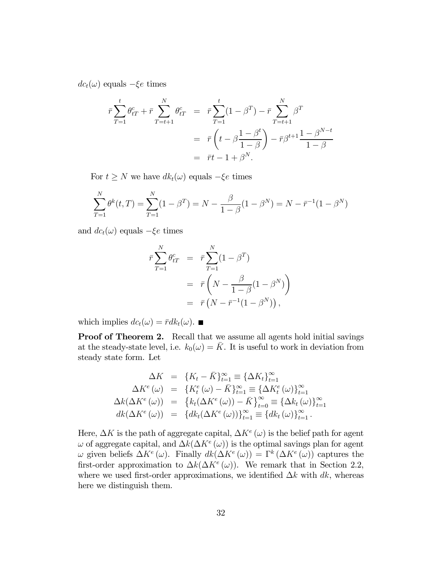$dc_t(\omega)$  equals  $-\xi e$  times

$$
\bar{r} \sum_{T=1}^{t} \theta_{tT}^{c} + \bar{r} \sum_{T=t+1}^{N} \theta_{tT}^{c} = \bar{r} \sum_{T=1}^{t} (1 - \beta^{T}) - \bar{r} \sum_{T=t+1}^{N} \beta^{T}
$$

$$
= \bar{r} \left( t - \beta \frac{1 - \beta^{t}}{1 - \beta} \right) - \bar{r} \beta^{t+1} \frac{1 - \beta^{N-t}}{1 - \beta}
$$

$$
= \bar{r}t - 1 + \beta^{N}.
$$

For  $t \geq N$  we have  $dk_t(\omega)$  equals  $-\xi e$  times

$$
\sum_{T=1}^{N} \theta^{k}(t, T) = \sum_{T=1}^{N} (1 - \beta^{T}) = N - \frac{\beta}{1 - \beta} (1 - \beta^{N}) = N - \bar{r}^{-1} (1 - \beta^{N})
$$

and  $dc_t(\omega)$  equals  $-\xi e$  times

$$
\begin{aligned}\n\bar{r} \sum_{T=1}^{N} \theta_{tT}^c &= \bar{r} \sum_{T=1}^{N} (1 - \beta^T) \\
&= \bar{r} \left( N - \frac{\beta}{1 - \beta} (1 - \beta^N) \right) \\
&= \bar{r} \left( N - \bar{r}^{-1} (1 - \beta^N) \right),\n\end{aligned}
$$

which implies  $dc_t(\omega)=\bar{r}dk_t(\omega)$ .

Proof of Theorem 2. Recall that we assume all agents hold initial savings at the steady-state level, i.e.  $k_0(\omega) = \overline{K}$ . It is useful to work in deviation from steady state form. Let

$$
\Delta K = \{K_t - \bar{K}\}_{t=1}^{\infty} \equiv \{\Delta K_t\}_{t=1}^{\infty}
$$

$$
\Delta K^e(\omega) = \{K_t^e(\omega) - \bar{K}\}_{t=1}^{\infty} \equiv \{\Delta K_t^e(\omega)\}_{t=1}^{\infty}
$$

$$
\Delta k(\Delta K^e(\omega)) = \{k_t(\Delta K^e(\omega)) - \bar{K}\}_{t=0}^{\infty} \equiv \{\Delta k_t(\omega)\}_{t=1}^{\infty}
$$

$$
dk(\Delta K^e(\omega)) = \{dk_t(\Delta K^e(\omega))\}_{t=1}^{\infty} \equiv \{dk_t(\omega)\}_{t=1}^{\infty}.
$$

Here,  $\Delta K$  is the path of aggregate capital,  $\Delta K^{e}(\omega)$  is the belief path for agent  $\omega$  of aggregate capital, and  $\Delta k(\Delta K^e(\omega))$  is the optimal savings plan for agent  $\omega$  given beliefs  $\Delta K^{e}(\omega)$ . Finally  $dk(\Delta K^{e}(\omega)) = \Gamma^{k}(\Delta K^{e}(\omega))$  captures the first-order approximation to  $\Delta k(\Delta K^e(\omega))$ . We remark that in Section 2.2, where we used first-order approximations, we identified  $\Delta k$  with  $dk$ , whereas here we distinguish them.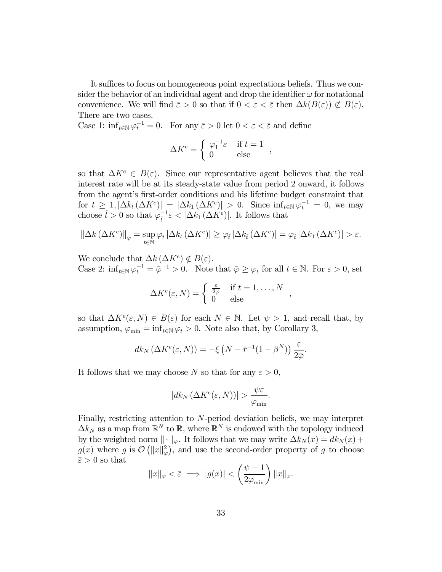It suffices to focus on homogeneous point expectations beliefs. Thus we consider the behavior of an individual agent and drop the identifier  $\omega$  for notational convenience. We will find  $\bar{\varepsilon} > 0$  so that if  $0 < \varepsilon < \bar{\varepsilon}$  then  $\Delta k(B(\varepsilon)) \not\subset B(\varepsilon)$ . There are two cases.

Case 1:  $\inf_{t \in \mathbb{N}} \varphi_t^{-1} = 0$ . For any  $\bar{\varepsilon} > 0$  let  $0 < \varepsilon < \bar{\varepsilon}$  and define

$$
\Delta K^e = \left\{ \begin{array}{ll} \varphi_1^{-1} \varepsilon & \text{ if } t = 1 \\ 0 & \text{ else } \end{array} \right.,
$$

so that  $\Delta K^e \in B(\varepsilon)$ . Since our representative agent believes that the real interest rate will be at its steady-state value from period 2 onward, it follows from the agent's first-order conditions and his lifetime budget constraint that for  $t \geq 1, |\Delta k_t(\Delta K^e)| = |\Delta k_1(\Delta K^e)| > 0$ . Since  $\inf_{t \in \mathbb{N}} \varphi_t^{-1} = 0$ , we may choose  $\hat{t} > 0$  so that  $\varphi_{\hat{t}}^{-1} \varepsilon < |\Delta k_1(\Delta K^e)|$ . It follows that

$$
\left\|\Delta k\left(\Delta K^{e}\right)\right\|_{\varphi}=\sup_{t\in\mathbb{N}}\varphi_{t}\left|\Delta k_{t}\left(\Delta K^{e}\right)\right|\geq\varphi_{\hat{t}}\left|\Delta k_{\hat{t}}\left(\Delta K^{e}\right)\right|=\varphi_{\hat{t}}\left|\Delta k_{1}\left(\Delta K^{e}\right)\right|>\varepsilon.
$$

We conclude that  $\Delta k(\Delta K^e) \notin B(\varepsilon)$ .

Case 2:  $\inf_{t \in \mathbb{N}} \varphi_t^{-1} = \overline{\varphi}^{-1} > 0$ . Note that  $\overline{\varphi} \geq \varphi_t$  for all  $t \in \mathbb{N}$ . For  $\varepsilon > 0$ , set

$$
\Delta K^{e}(\varepsilon, N) = \begin{cases} \frac{\varepsilon}{2\overline{\varphi}} & \text{if } t = 1, \dots, N \\ 0 & \text{else} \end{cases},
$$

so that  $\Delta K^e(\varepsilon, N) \in B(\varepsilon)$  for each  $N \in \mathbb{N}$ . Let  $\psi > 1$ , and recall that, by assumption,  $\varphi_{\min} = \inf_{t \in \mathbb{N}} \varphi_t > 0$ . Note also that, by Corollary 3,

$$
dk_N\left(\Delta K^e(\varepsilon, N)\right) = -\xi\left(N - \bar{r}^{-1}(1 - \beta^N)\right) \frac{\varepsilon}{2\bar{\varphi}}.
$$

It follows that we may choose N so that for any  $\varepsilon > 0$ ,

$$
|dk_N\left(\Delta K^e(\varepsilon,N)\right)| > \frac{\psi\varepsilon}{\varphi_{\min}}.
$$

Finally, restricting attention to  $N$ -period deviation beliefs, we may interpret  $\Delta k_N$  as a map from  $\mathbb{R}^N$  to  $\mathbb{R}$ , where  $\mathbb{R}^N$  is endowed with the topology induced by the weighted norm  $\|\cdot\|_{\varphi}$ . It follows that we may write  $\Delta k_N(x) = d k_N(x) +$  $g(x)$  where g is  $\mathcal{O}\left(\Vert x \Vert_{\varphi}^{2}\right)$ , and use the second-order property of g to choose  $\bar{\varepsilon} > 0$  so that

$$
||x||_{\varphi} < \bar{\varepsilon} \implies |g(x)| < \left(\frac{\psi - 1}{2\varphi_{\min}}\right) ||x||_{\varphi}.
$$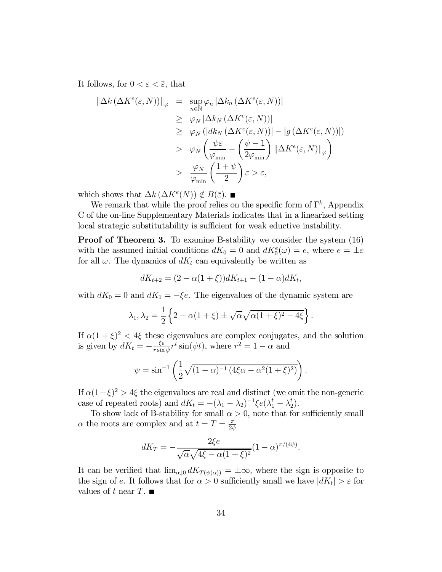It follows, for  $0 < \varepsilon < \overline{\varepsilon}$ , that

$$
\begin{aligned}\n\|\Delta k \left(\Delta K^{e}(\varepsilon, N)\right)\|_{\varphi} &= \sup_{n \in \mathbb{N}} \varphi_{n} \left|\Delta k_{n} \left(\Delta K^{e}(\varepsilon, N)\right)\right| \\
&\geq \varphi_{N} \left|\Delta k_{N} \left(\Delta K^{e}(\varepsilon, N)\right)\right| \\
&\geq \varphi_{N} \left(\left|dk_{N} \left(\Delta K^{e}(\varepsilon, N)\right)\right| - \left|g\left(\Delta K^{e}(\varepsilon, N)\right)\right|\right) \\
&> \varphi_{N} \left(\frac{\psi \varepsilon}{\varphi_{\min}} - \left(\frac{\psi - 1}{2\varphi_{\min}}\right) \left\|\Delta K^{e}(\varepsilon, N)\right\|_{\varphi}\right) \\
&> \frac{\varphi_{N}}{\varphi_{\min}} \left(\frac{1 + \psi}{2}\right) \varepsilon > \varepsilon,\n\end{aligned}
$$

which shows that  $\Delta k(\Delta K^e(N)) \notin B(\bar{\varepsilon})$ . ■

We remark that while the proof relies on the specific form of  $\Gamma^k$ , Appendix C of the on-line Supplementary Materials indicates that in a linearized setting local strategic substitutability is sufficient for weak eductive instability.

**Proof of Theorem 3.** To examine B-stability we consider the system  $(16)$ with the assumed initial conditions  $dK_0 = 0$  and  $dK_0^e(\omega) = e$ , where  $e = \pm \varepsilon$ for all  $\omega$ . The dynamics of  $dK_t$  can equivalently be written as

$$
dK_{t+2} = (2 - \alpha(1+\xi))dK_{t+1} - (1-\alpha)dK_t,
$$

with  $dK_0 = 0$  and  $dK_1 = -\xi e$ . The eigenvalues of the dynamic system are

$$
\lambda_1, \lambda_2 = \frac{1}{2} \left\{ 2 - \alpha (1 + \xi) \pm \sqrt{\alpha} \sqrt{\alpha (1 + \xi)^2 - 4\xi} \right\}.
$$

If  $\alpha(1 + \xi)^2 < 4\xi$  these eigenvalues are complex conjugates, and the solution is given by  $dK_t = -\frac{\xi e}{r \sin \psi} r^t \sin(\psi t)$ , where  $r^2 = 1 - \alpha$  and

$$
\psi = \sin^{-1}\left(\frac{1}{2}\sqrt{(1-\alpha)^{-1}(4\xi\alpha - \alpha^2(1+\xi)^2)}\right).
$$

If  $\alpha(1+\xi)^2 > 4\xi$  the eigenvalues are real and distinct (we omit the non-generic case of repeated roots) and  $dK_t = -(\lambda_1 - \lambda_2)^{-1} \xi e(\lambda_1^t - \lambda_2^t)$ .

To show lack of B-stability for small  $\alpha > 0$ , note that for sufficiently small  $\alpha$  the roots are complex and at  $t=T=\frac{\pi}{2\psi}$ 

$$
dK_T = -\frac{2\xi e}{\sqrt{\alpha}\sqrt{4\xi - \alpha(1+\xi)^2}}(1-\alpha)^{\pi/(4\psi)}.
$$

It can be verified that  $\lim_{\alpha\downarrow 0} dK_{T(\psi(\alpha))} = \pm \infty$ , where the sign is opposite to the sign of e. It follows that for  $\alpha > 0$  sufficiently small we have  $|dK_t| > \varepsilon$  for values of t near  $T$ .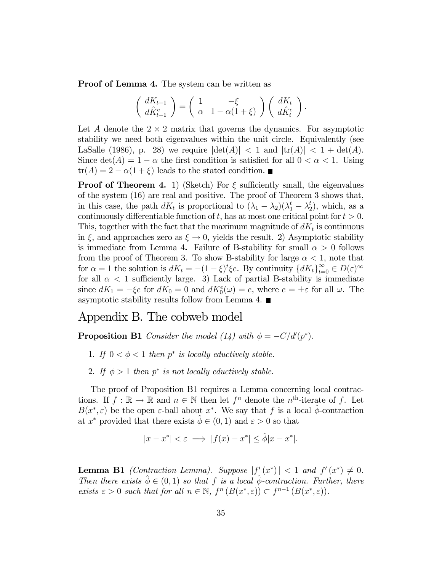Proof of Lemma 4. The system can be written as

$$
\begin{pmatrix} dK_{t+1} \\ d\hat{K}_{t+1}^e \end{pmatrix} = \begin{pmatrix} 1 & -\xi \\ \alpha & 1 - \alpha(1+\xi) \end{pmatrix} \begin{pmatrix} dK_t \\ d\hat{K}_t^e \end{pmatrix}.
$$

Let A denote the  $2 \times 2$  matrix that governs the dynamics. For asymptotic stability we need both eigenvalues within the unit circle. Equivalently (see LaSalle (1986), p. 28) we require  $|\det(A)| < 1$  and  $|\text{tr}(A)| < 1 + \det(A)$ . Since  $\det(A)=1 - \alpha$  the first condition is satisfied for all  $0 < \alpha < 1$ . Using  $tr(A) = 2 - \alpha(1 + \xi)$  leads to the stated condition. ■

**Proof of Theorem 4.** 1) (Sketch) For  $\xi$  sufficiently small, the eigenvalues of the system (16) are real and positive. The proof of Theorem 3 shows that, in this case, the path  $dK_t$  is proportional to  $(\lambda_1 - \lambda_2)(\lambda_1^t - \lambda_2^t)$ , which, as a continuously differentiable function of  $t$ , has at most one critical point for  $t > 0$ . This, together with the fact that the maximum magnitude of  $dK_t$  is continuous in  $\xi$ , and approaches zero as  $\xi \to 0$ , yields the result. 2) Asymptotic stability is immediate from Lemma 4. Failure of B-stability for small  $\alpha > 0$  follows from the proof of Theorem 3. To show B-stability for large  $\alpha < 1$ , note that for  $\alpha = 1$  the solution is  $dK_t = -(1 - \xi)^t \xi e$ . By continuity  $\{ dK_t \}_{t=0}^{\infty} \in D(\varepsilon)$ <sup>∞</sup> for all  $\alpha$  < 1 sufficiently large. 3) Lack of partial B-stability is immediate since  $dK_1 = -\xi e$  for  $dK_0 = 0$  and  $dK_0^e(\omega) = e$ , where  $e = \pm \varepsilon$  for all  $\omega$ . The asymptotic stability results follow from Lemma 4.  $\blacksquare$ 

### Appendix B. The cobweb model

**Proposition B1** Consider the model (14) with  $\phi = -C/d'(p^*).$ 

- 1. If  $0 < \phi < 1$  then  $p^*$  is locally eductively stable.
- 2. If  $\phi > 1$  then p<sup>\*</sup> is not locally eductively stable.

The proof of Proposition B1 requires a Lemma concerning local contractions. If  $f : \mathbb{R} \to \mathbb{R}$  and  $n \in \mathbb{N}$  then let  $f^n$  denote the  $n^{\text{th}}$ -iterate of f. Let  $B(x^*, \varepsilon)$  be the open  $\varepsilon$ -ball about  $x^*$ . We say that f is a local  $\phi$ -contraction at  $x^*$  provided that there exists  $\phi \in (0,1)$  and  $\varepsilon > 0$  so that

$$
|x - x^*| < \varepsilon \implies |f(x) - x^*| \le \hat{\phi}|x - x^*|.
$$

**Lemma B1** (Contraction Lemma). Suppose  $|f'(x^*)| < 1$  and  $f'(x^*) \neq 0$ . Then there exists  $\hat{\phi} \in (0,1)$  so that f is a local  $\hat{\phi}$ -contraction. Further, there exists  $\varepsilon > 0$  such that for all  $n \in \mathbb{N}$ ,  $f^{n}(B(x^*, \varepsilon)) \subset f^{n-1}(B(x^*, \varepsilon))$ .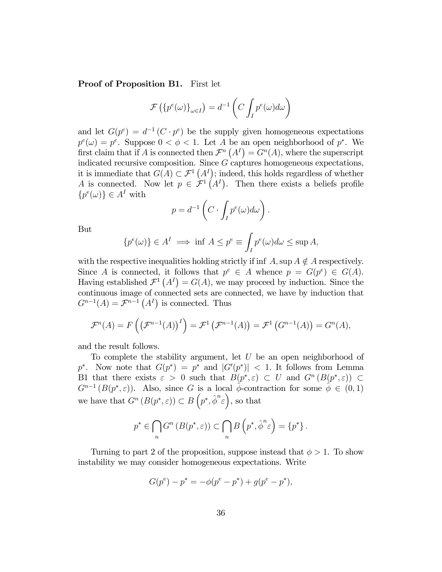Proof of Proposition B1. First let

$$
\mathcal{F}\left(\{p^e(\omega)\}_{\omega \in I}\right) = d^{-1}\left(C \int_I p^e(\omega) d\omega\right)
$$

and let  $G(p^e) = d^{-1}(C \cdot p^e)$  be the supply given homogeneous expectations  $p^{e}(\omega) = p^{e}$ . Suppose  $0 < \phi < 1$ . Let A be an open neighborhood of  $p^{*}$ . We first claim that if A is connected then  $\mathcal{F}^n(A^I) = \overline{G^n(A)}$ , where the superscript indicated recursive composition. Since  $G$  captures homogeneous expectations, it is immediate that  $G(A) \subset \mathcal{F}^1(A^I)$ ; indeed, this holds regardless of whether A is connected. Now let  $p \in \mathcal{F}^1(A^I)$ . Then there exists a beliefs profile  $\{p^{e}(\omega)\}\in A^{I}$  with

$$
p = d^{-1} \left( C \cdot \int_I p^e(\omega) d\omega \right).
$$

But

$$
\{p^{e}(\omega)\}\in A^{I}\implies \inf A\leq p^{e}\equiv \int_{I}p^{e}(\omega)d\omega\leq \sup A,
$$

with the respective inequalities holding strictly if inf A, sup  $A \notin A$  respectively. Since A is connected, it follows that  $p^e \in A$  whence  $p = G(p^e) \in G(A)$ . Having established  $\mathcal{F}^1(A^I) = G(A)$ , we may proceed by induction. Since the continuous image of connected sets are connected, we have by induction that  $G^{n-1}(A) = \mathcal{F}^{n-1}(A^I)$  is connected. Thus

$$
\mathcal{F}^n(A) = F\left(\left(\mathcal{F}^{n-1}(A)\right)^I\right) = \mathcal{F}^1\left(\mathcal{F}^{n-1}(A)\right) = \mathcal{F}^1\left(G^{n-1}(A)\right) = G^n(A),
$$

and the result follows.

To complete the stability argument, let  $U$  be an open neighborhood of  $p^*$ . Now note that  $G(p^*) = p^*$  and  $|G'(p^*)| < 1$ . It follows from Lemma B1 that there exists  $\varepsilon > 0$  such that  $B(p^*, \varepsilon) \subset U$  and  $G^n(B(p^*, \varepsilon)) \subset$  $G^{n-1}(B(p^*,\varepsilon))$ . Also, since G is a local  $\hat{\phi}$ -contraction for some  $\hat{\phi} \in (0,1)$ we have that  $G^n(B(p^*, \varepsilon)) \subset B(p^*, \hat{\phi}^n \varepsilon)$ , so that

$$
p^* \in \bigcap_n G^n(B(p^*, \varepsilon)) \subset \bigcap_n B\left(p^*, \hat{\phi}^n \varepsilon\right) = \{p^*\}.
$$

Turning to part 2 of the proposition, suppose instead that  $\phi > 1$ . To show instability we may consider homogeneous expectations. Write

$$
G(p^{e}) - p^{*} = -\phi(p^{e} - p^{*}) + g(p^{e} - p^{*}),
$$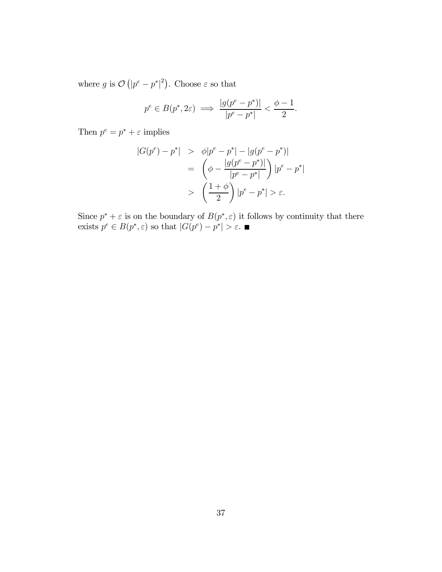where g is  $\mathcal{O}(|p^e - p^*|^2)$ . Choose  $\varepsilon$  so that

$$
p^e \in B(p^*, 2\varepsilon) \implies \frac{|g(p^e - p^*)|}{|p^e - p^*|} < \frac{\phi - 1}{2}.
$$

Then  $p^e = p^* + \varepsilon$  implies

$$
|G(p^{e}) - p^{*}| > \phi |p^{e} - p^{*}| - |g(p^{e} - p^{*})|
$$
\n
$$
= \left( \phi - \frac{|g(p^{e} - p^{*})|}{|p^{e} - p^{*}|} \right) |p^{e} - p^{*}|
$$
\n
$$
> \left( \frac{1 + \phi}{2} \right) |p^{e} - p^{*}| > \varepsilon.
$$

Since  $p^* + \varepsilon$  is on the boundary of  $B(p^*, \varepsilon)$  it follows by continuity that there exists  $p^e \in B(p^*, \varepsilon)$  so that  $|G(p^e) - p^*| > \varepsilon$ .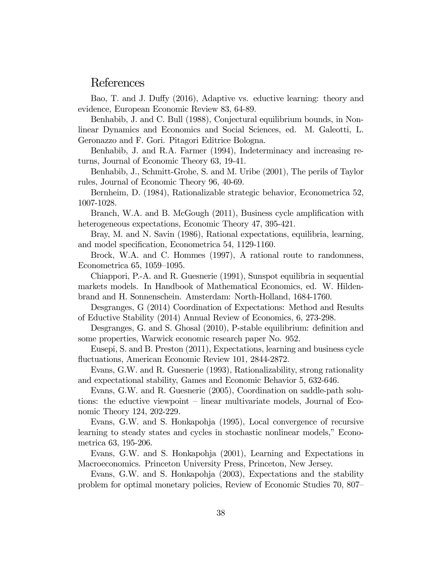### References

Bao, T. and J. Duffy (2016), Adaptive vs. eductive learning: theory and evidence, European Economic Review 83, 64-89.

Benhabib, J. and C. Bull (1988), Conjectural equilibrium bounds, in Nonlinear Dynamics and Economics and Social Sciences, ed. M. Galeotti, L. Geronazzo and F. Gori. Pitagori Editrice Bologna.

Benhabib, J. and R.A. Farmer (1994), Indeterminacy and increasing returns, Journal of Economic Theory 63, 19-41.

Benhabib, J., Schmitt-Grohe, S. and M. Uribe (2001), The perils of Taylor rules, Journal of Economic Theory 96, 40-69.

Bernheim, D. (1984), Rationalizable strategic behavior, Econometrica 52, 1007-1028.

Branch, W.A. and B. McGough (2011), Business cycle amplification with heterogeneous expectations, Economic Theory 47, 395-421.

Bray, M. and N. Savin (1986), Rational expectations, equilibria, learning, and model specification, Econometrica 54, 1129-1160.

Brock, W.A. and C. Hommes (1997), A rational route to randomness, Econometrica 65, 1059—1095.

Chiappori, P.-A. and R. Guesnerie (1991), Sunspot equilibria in sequential markets models. In Handbook of Mathematical Economics, ed. W. Hildenbrand and H. Sonnenschein. Amsterdam: North-Holland, 1684-1760.

Desgranges, G (2014) Coordination of Expectations: Method and Results of Eductive Stability (2014) Annual Review of Economics, 6, 273-298.

Desgranges, G. and S. Ghosal (2010), P-stable equilibrium: definition and some properties, Warwick economic research paper No. 952.

Eusepi, S. and B. Preston (2011), Expectations, learning and business cycle fluctuations, American Economic Review 101, 2844-2872.

Evans, G.W. and R. Guesnerie (1993), Rationalizability, strong rationality and expectational stability, Games and Economic Behavior 5, 632-646.

Evans, G.W. and R. Guesnerie (2005), Coordination on saddle-path solutions: the eductive viewpoint — linear multivariate models, Journal of Economic Theory 124, 202-229.

Evans, G.W. and S. Honkapohja (1995), Local convergence of recursive learning to steady states and cycles in stochastic nonlinear models," Econometrica 63, 195-206.

Evans, G.W. and S. Honkapohja (2001), Learning and Expectations in Macroeconomics. Princeton University Press, Princeton, New Jersey.

Evans, G.W. and S. Honkapohja (2003), Expectations and the stability problem for optimal monetary policies, Review of Economic Studies 70, 807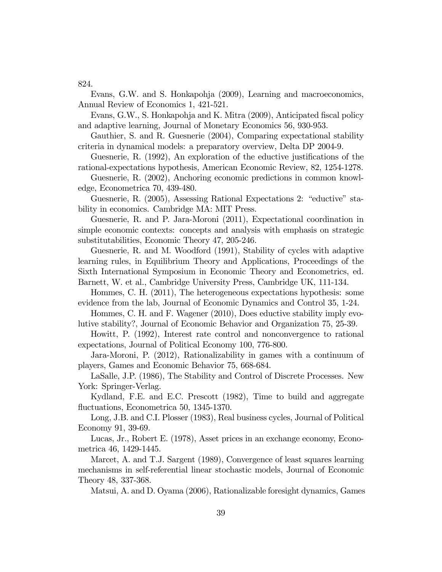824.

Evans, G.W. and S. Honkapohja (2009), Learning and macroeconomics, Annual Review of Economics 1, 421-521.

Evans, G.W., S. Honkapohja and K. Mitra (2009), Anticipated fiscal policy and adaptive learning, Journal of Monetary Economics 56, 930-953.

Gauthier, S. and R. Guesnerie (2004), Comparing expectational stability criteria in dynamical models: a preparatory overview, Delta DP 2004-9.

Guesnerie, R. (1992), An exploration of the eductive justifications of the rational-expectations hypothesis, American Economic Review, 82, 1254-1278.

Guesnerie, R. (2002), Anchoring economic predictions in common knowledge, Econometrica 70, 439-480.

Guesnerie, R. (2005), Assessing Rational Expectations 2: "eductive" stability in economics. Cambridge MA: MIT Press.

Guesnerie, R. and P. Jara-Moroni (2011), Expectational coordination in simple economic contexts: concepts and analysis with emphasis on strategic substitutabilities, Economic Theory 47, 205-246.

Guesnerie, R. and M. Woodford (1991), Stability of cycles with adaptive learning rules, in Equilibrium Theory and Applications, Proceedings of the Sixth International Symposium in Economic Theory and Econometrics, ed. Barnett, W. et al., Cambridge University Press, Cambridge UK, 111-134.

Hommes, C. H. (2011), The heterogeneous expectations hypothesis: some evidence from the lab, Journal of Economic Dynamics and Control 35, 1-24.

Hommes, C. H. and F. Wagener (2010), Does eductive stability imply evolutive stability?, Journal of Economic Behavior and Organization 75, 25-39.

Howitt, P. (1992), Interest rate control and nonconvergence to rational expectations, Journal of Political Economy 100, 776-800.

Jara-Moroni, P. (2012), Rationalizability in games with a continuum of players, Games and Economic Behavior 75, 668-684.

LaSalle, J.P. (1986), The Stability and Control of Discrete Processes. New York: Springer-Verlag.

Kydland, F.E. and E.C. Prescott (1982), Time to build and aggregate fluctuations, Econometrica 50, 1345-1370.

Long, J.B. and C.I. Plosser (1983), Real business cycles, Journal of Political Economy 91, 39-69.

Lucas, Jr., Robert E. (1978), Asset prices in an exchange economy, Econometrica 46, 1429-1445.

Marcet, A. and T.J. Sargent (1989), Convergence of least squares learning mechanisms in self-referential linear stochastic models, Journal of Economic Theory 48, 337-368.

Matsui, A. and D. Oyama (2006), Rationalizable foresight dynamics, Games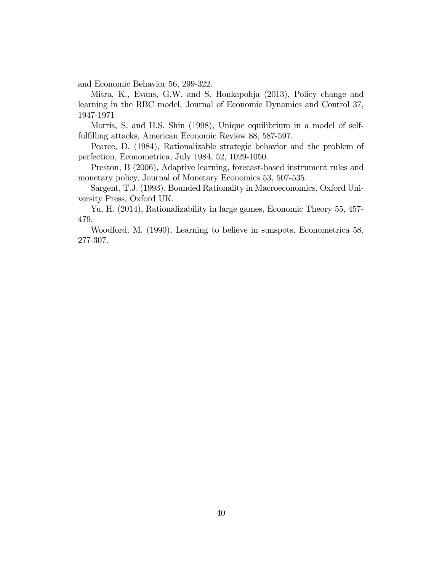and Economic Behavior 56, 299-322.

Mitra, K., Evans, G.W. and S. Honkapohja (2013), Policy change and learning in the RBC model, Journal of Economic Dynamics and Control 37, 1947-1971

Morris, S. and H.S. Shin (1998), Unique equilibrium in a model of selffulfilling attacks, American Economic Review 88, 587-597.

Pearce, D. (1984), Rationalizable strategic behavior and the problem of perfection, Econometrica, July 1984, 52, 1029-1050.

Preston, B (2006), Adaptive learning, forecast-based instrument rules and monetary policy, Journal of Monetary Economics 53, 507-535.

Sargent, T.J. (1993), Bounded Rationality in Macroeconomics, Oxford University Press, Oxford UK.

Yu, H. (2014), Rationalizability in large games, Economic Theory 55, 457- 479.

Woodford, M. (1990), Learning to believe in sunspots, Econometrica 58, 277-307.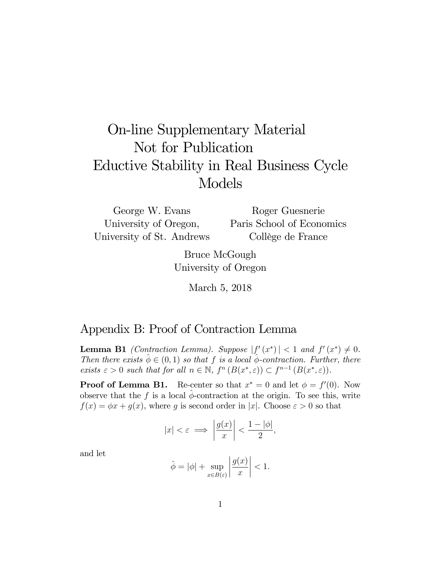# On-line Supplementary Material Not for Publication Eductive Stability in Real Business Cycle Models

George W. Evans University of Oregon, University of St. Andrews Roger Guesnerie Paris School of Economics Collège de France

> Bruce McGough University of Oregon

> > March 5, 2018

### Appendix B: Proof of Contraction Lemma

**Lemma B1** (Contraction Lemma). Suppose  $|f'(x^*)| < 1$  and  $f'(x^*) \neq 0$ . Then there exists  $\phi \in (0, 1)$  so that f is a local  $\phi$ -contraction. Further, there exists  $\varepsilon > 0$  such that for all  $n \in \mathbb{N}$ ,  $f^{n}(B(x^*, \varepsilon)) \subset f^{n-1}(B(x^*, \varepsilon))$ .

**Proof of Lemma B1.** Re-center so that  $x^* = 0$  and let  $\phi = f'(0)$ . Now observe that the f is a local  $\phi$ -contraction at the origin. To see this, write  $f(x) = \phi x + g(x)$ , where g is second order in |x|. Choose  $\varepsilon > 0$  so that

$$
|x| < \varepsilon \implies \left| \frac{g(x)}{x} \right| < \frac{1 - |\phi|}{2},
$$

and let

$$
\hat{\phi} = |\phi| + \sup_{x \in B(\varepsilon)} \left| \frac{g(x)}{x} \right| < 1.
$$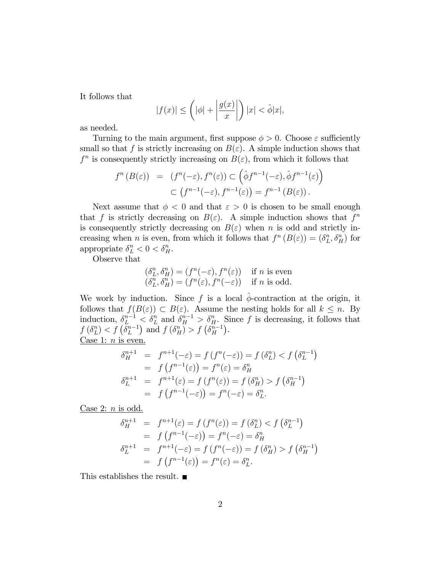It follows that

$$
|f(x)| \le \left(|\phi| + \left|\frac{g(x)}{x}\right|\right)|x| < \hat{\phi}|x|,
$$

as needed.

Turning to the main argument, first suppose  $\phi > 0$ . Choose  $\varepsilon$  sufficiently small so that f is strictly increasing on  $B(\varepsilon)$ . A simple induction shows that  $f<sup>n</sup>$  is consequently strictly increasing on  $B(\varepsilon)$ , from which it follows that

$$
f^{n}(B(\varepsilon)) = (f^{n}(-\varepsilon), f^{n}(\varepsilon)) \subset (\hat{\phi}f^{n-1}(-\varepsilon), \hat{\phi}f^{n-1}(\varepsilon))
$$
  

$$
\subset (f^{n-1}(-\varepsilon), f^{n-1}(\varepsilon)) = f^{n-1}(B(\varepsilon)).
$$

Next assume that  $\phi < 0$  and that  $\varepsilon > 0$  is chosen to be small enough that f is strictly decreasing on  $B(\varepsilon)$ . A simple induction shows that  $f^n$ is consequently strictly decreasing on  $B(\varepsilon)$  when n is odd and strictly increasing when *n* is even, from which it follows that  $f^n(B(\varepsilon)) = (\delta_L^n)$  $L^n$ ,  $\delta_H^n$ ) for appropriate  $\delta_L^n < 0 < \delta_H^n$ .

Observe that

$$
\begin{aligned}\n(\delta_L^n, \delta_H^n) &= (f^n(-\varepsilon), f^n(\varepsilon)) \quad \text{if } n \text{ is even} \\
(\delta_L^n, \delta_H^n) &= (f^n(\varepsilon), f^n(-\varepsilon)) \quad \text{if } n \text{ is odd.}\n\end{aligned}
$$

We work by induction. Since f is a local  $\hat{\phi}$ -contraction at the origin, it follows that  $f(B(\varepsilon)) \subset B(\varepsilon)$ . Assume the nesting holds for all  $k \leq n$ . By induction,  $\delta_L^{n-1} < \delta_L^n$  and  $\delta_H^{n-1} > \delta_H^n$ . Since f is decreasing, it follows that  $f(\delta_L^n)$  $\binom{n}{L}$  < f  $\left(\widetilde{\delta}_L^{n-1}\right)$  and  $f\left(\delta_H^n\right) > f\left(\widetilde{\delta}_H^{n-1}\right)$ . Case 1:  $n$  is even.

$$
\delta_H^{n+1} = f^{n+1}(-\varepsilon) = f(f^n(-\varepsilon)) = f(\delta_L^n) < f(\delta_L^{n-1})
$$
\n
$$
= f(f^{n-1}(\varepsilon)) = f^n(\varepsilon) = \delta_H^n
$$
\n
$$
\delta_L^{n+1} = f^{n+1}(\varepsilon) = f(f^n(\varepsilon)) = f(\delta_H^n) > f(\delta_H^{n-1})
$$
\n
$$
= f(f^{n-1}(-\varepsilon)) = f^n(-\varepsilon) = \delta_L^n.
$$

 $Case 2: n is odd.$ 

$$
\delta_H^{n+1} = f^{n+1}(\varepsilon) = f(f^n(\varepsilon)) = f(\delta_L^n) < f(\delta_L^{n-1})
$$
\n
$$
= f(f^{n-1}(-\varepsilon)) = f^n(-\varepsilon) = \delta_H^n
$$
\n
$$
\delta_L^{n+1} = f^{n+1}(-\varepsilon) = f(f^n(-\varepsilon)) = f(\delta_H^n) > f(\delta_H^{n-1})
$$
\n
$$
= f(f^{n-1}(\varepsilon)) = f^n(\varepsilon) = \delta_L^n.
$$

This establishes the result. ■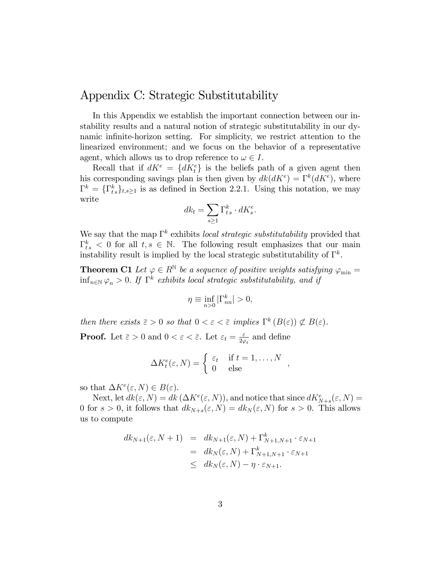### Appendix C: Strategic Substitutability

In this Appendix we establish the important connection between our instability results and a natural notion of strategic substitutability in our dynamic infinite-horizon setting. For simplicity, we restrict attention to the linearized environment; and we focus on the behavior of a representative agent, which allows us to drop reference to  $\omega \in I$ .

Recall that if  $dK^e = \{dK^e_t\}$  is the beliefs path of a given agent then his corresponding savings plan is then given by  $dk(dK^e) = \Gamma^k(dK^e)$ , where  $\Gamma^k = \{\Gamma^k_{ts}\}_{t,s\geq 1}$  is as defined in Section 2.2.1. Using this notation, we may write

$$
dk_t = \sum_{s \ge 1} \Gamma_{ts}^k \cdot dK_s^e.
$$

We say that the map  $\Gamma^k$  exhibits local strategic substitutability provided that  $\Gamma_{ts}^k < 0$  for all  $t, s \in \mathbb{N}$ . The following result emphasizes that our main instability result is implied by the local strategic substitutability of  $\Gamma^k$ .

**Theorem C1** Let  $\varphi \in R^{\mathbb{N}}$  be a sequence of positive weights satisfying  $\varphi_{\min} =$  $\inf_{n\in\mathbb{N}}\varphi_n>0$ . If  $\Gamma^k$  exhibits local strategic substitutability, and if

$$
\eta \equiv \inf_{n>0} |\Gamma^k_{nn}| > 0,
$$

then there exists  $\bar{\varepsilon} > 0$  so that  $0 < \varepsilon < \bar{\varepsilon}$  implies  $\Gamma^k(B(\varepsilon)) \not\subset B(\varepsilon)$ . **Proof.** Let  $\bar{\varepsilon} > 0$  and  $0 < \varepsilon < \bar{\varepsilon}$ . Let  $\varepsilon_t = \frac{\varepsilon}{2\omega}$  $\frac{\varepsilon}{2\varphi_t}$  and define

$$
\Delta K_t^e(\varepsilon, N) = \begin{cases} \varepsilon_t & \text{if } t = 1, \dots, N \\ 0 & \text{else} \end{cases}
$$

so that  $\Delta K^e(\varepsilon, N) \in B(\varepsilon)$ .

Next, let  $dk(\varepsilon, N) = dk(\Delta K^e(\varepsilon, N))$ , and notice that since  $dK^e_{N+s}(\varepsilon, N) =$ 0 for  $s > 0$ , it follows that  $dk_{N+s}(\varepsilon, N) = dk_N(\varepsilon, N)$  for  $s > 0$ . This allows us to compute

$$
dk_{N+1}(\varepsilon, N+1) = dk_{N+1}(\varepsilon, N) + \Gamma_{N+1,N+1}^k \cdot \varepsilon_{N+1}
$$
  
=  $dk_N(\varepsilon, N) + \Gamma_{N+1,N+1}^k \cdot \varepsilon_{N+1}$   
 $\leq dk_N(\varepsilon, N) - \eta \cdot \varepsilon_{N+1}.$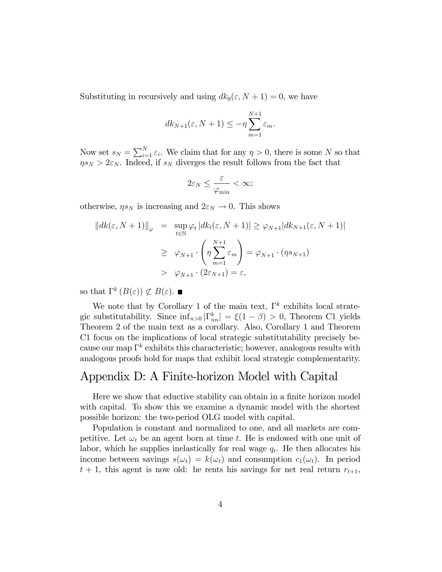Substituting in recursively and using  $dk_0(\varepsilon, N + 1) = 0$ , we have

$$
dk_{N+1}(\varepsilon, N+1) \le -\eta \sum_{m=1}^{N+1} \varepsilon_m.
$$

Now set  $s_N = \sum_{i=1}^N \varepsilon_i$ . We claim that for any  $\eta > 0$ , there is some N so that  $\eta s_N > 2\varepsilon_N$ . Indeed, if  $s_N$  diverges the result follows from the fact that

$$
2\varepsilon_N \leq \frac{\varepsilon}{\varphi_{\min}} < \infty;
$$

otherwise,  $\eta s_N$  is increasing and  $2\varepsilon_N \to 0$ . This shows

$$
||dk(\varepsilon, N+1)||_{\varphi} = \sup_{t \in \mathbb{N}} \varphi_t |dk_t(\varepsilon, N+1)| \geq \varphi_{N+1} |dk_{N+1}(\varepsilon, N+1)|
$$
  

$$
\geq \varphi_{N+1} \cdot \left( \eta \sum_{m=1}^{N+1} \varepsilon_m \right) = \varphi_{N+1} \cdot (\eta s_{N+1})
$$
  

$$
> \varphi_{N+1} \cdot (2\varepsilon_{N+1}) = \varepsilon,
$$

so that  $\Gamma^k(B(\varepsilon)) \not\subset B(\varepsilon)$ .

We note that by Corollary 1 of the main text,  $\Gamma^k$  exhibits local strategic substitutability. Since  $\inf_{n>0} |\Gamma_{nn}^k| = \xi(1-\beta) > 0$ , Theorem C1 yields Theorem 2 of the main text as a corollary. Also, Corollary 1 and Theorem C1 focus on the implications of local strategic substitutability precisely because our map  $\Gamma^k$  exhibits this characteristic; however, analogous results with analogous proofs hold for maps that exhibit local strategic complementarity.

## Appendix D: A Finite-horizon Model with Capital

Here we show that eductive stability can obtain in a finite horizon model with capital. To show this we examine a dynamic model with the shortest possible horizon: the two-period OLG model with capital.

Population is constant and normalized to one, and all markets are competitive. Let  $\omega_t$  be an agent born at time t. He is endowed with one unit of labor, which he supplies inelastically for real wage  $q_t$ . He then allocates his income between savings  $s(\omega_t) = k(\omega_t)$  and consumption  $c_1(\omega_t)$ . In period  $t + 1$ , this agent is now old: he rents his savings for net real return  $r_{t+1}$ ,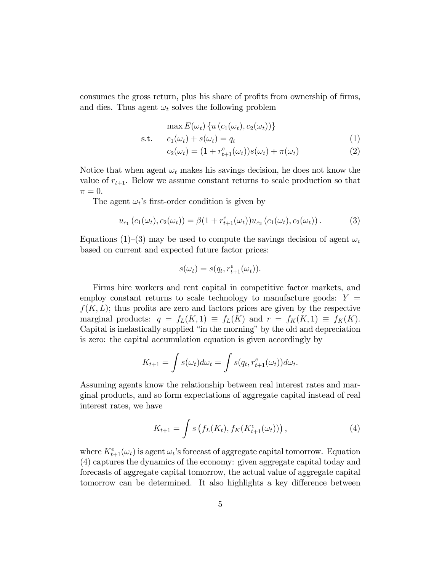consumes the gross return, plus his share of profits from ownership of firms, and dies. Thus agent  $\omega_t$  solves the following problem

$$
\max E(\omega_t) \{ u(c_1(\omega_t), c_2(\omega_t)) \}
$$
  
s.t. 
$$
c_1(\omega_t) + s(\omega_t) = q_t
$$

$$
c_2(\omega_t) = (1 + r_{t+1}^e(\omega_t))s(\omega_t) + \pi(\omega_t)
$$
(2)

Notice that when agent  $\omega_t$  makes his savings decision, he does not know the value of  $r_{t+1}$ . Below we assume constant returns to scale production so that  $\pi = 0.$ 

The agent  $\omega_t$ 's first-order condition is given by

$$
u_{c_1}(c_1(\omega_t), c_2(\omega_t)) = \beta(1 + r_{t+1}^e(\omega_t))u_{c_2}(c_1(\omega_t), c_2(\omega_t)).
$$
\n(3)

Equations (1)–(3) may be used to compute the savings decision of agent  $\omega_t$ based on current and expected future factor prices:

$$
s(\omega_t) = s(q_t, r_{t+1}^e(\omega_t)).
$$

Firms hire workers and rent capital in competitive factor markets, and employ constant returns to scale technology to manufacture goods:  $Y =$  $f(K, L)$ ; thus profits are zero and factors prices are given by the respective marginal products:  $q = f_L(K, 1) \equiv f_L(K)$  and  $r = f_K(K, 1) \equiv f_K(K)$ . Capital is inelastically supplied "in the morning" by the old and depreciation is zero: the capital accumulation equation is given accordingly by

$$
K_{t+1} = \int s(\omega_t) d\omega_t = \int s(q_t, r_{t+1}^e(\omega_t)) d\omega_t.
$$

Assuming agents know the relationship between real interest rates and marginal products, and so form expectations of aggregate capital instead of real interest rates, we have

$$
K_{t+1} = \int s\left(f_L(K_t), f_K(K_{t+1}^e(\omega_t))\right),\tag{4}
$$

where  $K_{t+1}^e(\omega_t)$  is agent  $\omega_t$ 's forecast of aggregate capital tomorrow. Equation (4) captures the dynamics of the economy: given aggregate capital today and forecasts of aggregate capital tomorrow, the actual value of aggregate capital tomorrow can be determined. It also highlights a key difference between